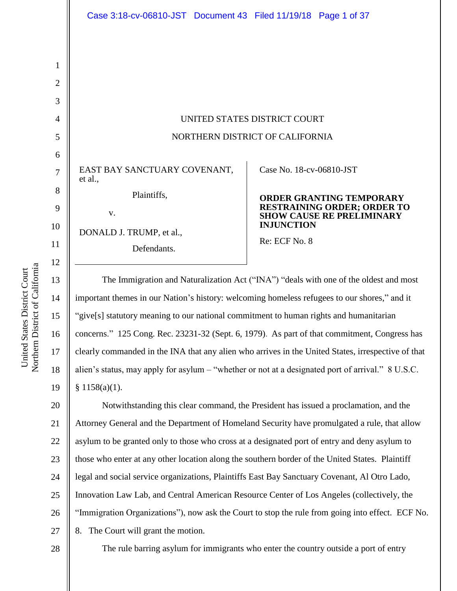|                                            | Case 3:18-cv-06810-JST Document 43 Filed 11/19/18 Page 1 of 37                        |                                                                        |
|--------------------------------------------|---------------------------------------------------------------------------------------|------------------------------------------------------------------------|
| 1<br>$\overline{2}$<br>3<br>$\overline{4}$ |                                                                                       | UNITED STATES DISTRICT COURT                                           |
| 5                                          | NORTHERN DISTRICT OF CALIFORNIA                                                       |                                                                        |
| 6                                          |                                                                                       |                                                                        |
| 7                                          | EAST BAY SANCTUARY COVENANT,<br>et al.,                                               | Case No. 18-cv-06810-JST                                               |
| 8                                          | Plaintiffs,                                                                           | <b>ORDER GRANTING TEMPORARY</b>                                        |
| 9                                          | V.                                                                                    | <b>RESTRAINING ORDER; ORDER TO</b><br><b>SHOW CAUSE RE PRELIMINARY</b> |
| 10                                         | DONALD J. TRUMP, et al.,                                                              | <b>INJUNCTION</b>                                                      |
| 11<br>12                                   | Defendants.                                                                           | Re: ECF No. 8                                                          |
| 13                                         | The Immigration and Naturalization Act ("INA") "deals with one of the oldest and most |                                                                        |

15 important themes in our Nation's history: welcoming homeless refugees to our shores," and it "give[s] statutory meaning to our national commitment to human rights and humanitarian concerns." 125 Cong. Rec. 23231-32 (Sept. 6, 1979). As part of that commitment, Congress has clearly commanded in the INA that any alien who arrives in the United States, irrespective of that alien's status, may apply for asylum – "whether or not at a designated port of arrival." 8 U.S.C.  $$1158(a)(1).$ 

20 21 22 23 24 25 26 27 Notwithstanding this clear command, the President has issued a proclamation, and the Attorney General and the Department of Homeland Security have promulgated a rule, that allow asylum to be granted only to those who cross at a designated port of entry and deny asylum to those who enter at any other location along the southern border of the United States. Plaintiff legal and social service organizations, Plaintiffs East Bay Sanctuary Covenant, Al Otro Lado, Innovation Law Lab, and Central American Resource Center of Los Angeles (collectively, the "Immigration Organizations"), now ask the Court to stop the rule from going into effect. ECF No. 8. The Court will grant the motion.

14

16

17

18

19

The rule barring asylum for immigrants who enter the country outside a port of entry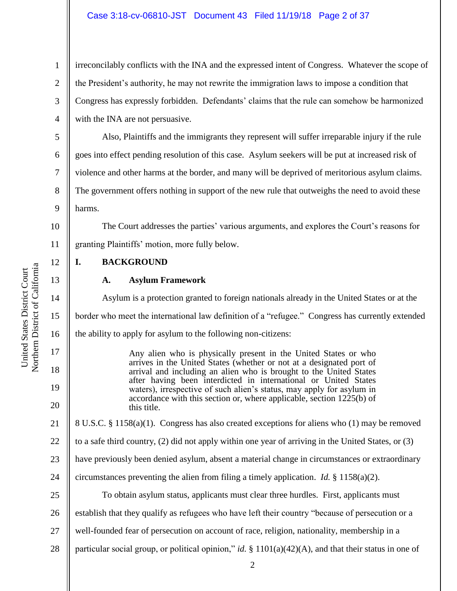irreconcilably conflicts with the INA and the expressed intent of Congress. Whatever the scope of the President's authority, he may not rewrite the immigration laws to impose a condition that Congress has expressly forbidden. Defendants' claims that the rule can somehow be harmonized with the INA are not persuasive.

Also, Plaintiffs and the immigrants they represent will suffer irreparable injury if the rule goes into effect pending resolution of this case. Asylum seekers will be put at increased risk of violence and other harms at the border, and many will be deprived of meritorious asylum claims. The government offers nothing in support of the new rule that outweighs the need to avoid these harms.

10 11 The Court addresses the parties' various arguments, and explores the Court's reasons for granting Plaintiffs' motion, more fully below.

**I. BACKGROUND**

# **A. Asylum Framework**

Asylum is a protection granted to foreign nationals already in the United States or at the border who meet the international law definition of a "refugee." Congress has currently extended the ability to apply for asylum to the following non-citizens:

Any alien who is physically present in the United States or who arrives in the United States (whether or not at a designated port of arrival and including an alien who is brought to the United States after having been interdicted in international or United States waters), irrespective of such alien's status, may apply for asylum in accordance with this section or, where applicable, section 1225(b) of this title.

21 8 U.S.C. § 1158(a)(1). Congress has also created exceptions for aliens who (1) may be removed

22 to a safe third country, (2) did not apply within one year of arriving in the United States, or (3)

23 have previously been denied asylum, absent a material change in circumstances or extraordinary

24 circumstances preventing the alien from filing a timely application. *Id.* § 1158(a)(2).

To obtain asylum status, applicants must clear three hurdles. First, applicants must

26 establish that they qualify as refugees who have left their country "because of persecution or a

- 27 well-founded fear of persecution on account of race, religion, nationality, membership in a
- 28 particular social group, or political opinion," *id.* § 1101(a)(42)(A), and that their status in one of

1

2

3

4

5

6

7

8

9

12

13

14

15

16

17

18

19

20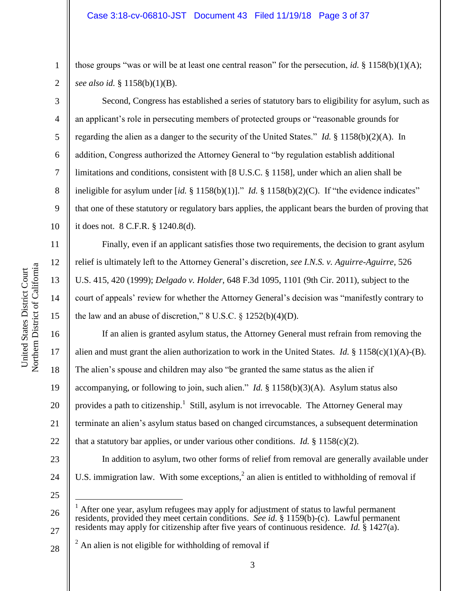those groups "was or will be at least one central reason" for the persecution, *id.* § 1158(b)(1)(A); *see also id.* § 1158(b)(1)(B).

Second, Congress has established a series of statutory bars to eligibility for asylum, such as an applicant's role in persecuting members of protected groups or "reasonable grounds for regarding the alien as a danger to the security of the United States." *Id.* § 1158(b)(2)(A). In addition, Congress authorized the Attorney General to "by regulation establish additional limitations and conditions, consistent with [8 U.S.C. § 1158], under which an alien shall be ineligible for asylum under [*id.* § 1158(b)(1)]." *Id.* § 1158(b)(2)(C). If "the evidence indicates" that one of these statutory or regulatory bars applies, the applicant bears the burden of proving that it does not. 8 C.F.R. § 1240.8(d).

Finally, even if an applicant satisfies those two requirements, the decision to grant asylum relief is ultimately left to the Attorney General's discretion, *see I.N.S. v. Aguirre-Aguirre*, 526 U.S. 415, 420 (1999); *Delgado v. Holder*, 648 F.3d 1095, 1101 (9th Cir. 2011), subject to the court of appeals' review for whether the Attorney General's decision was "manifestly contrary to the law and an abuse of discretion,"  $8 \text{ U.S.C.} \$   $1252(b)(4)(D)$ .

If an alien is granted asylum status, the Attorney General must refrain from removing the alien and must grant the alien authorization to work in the United States. *Id.* § 1158(c)(1)(A)-(B). The alien's spouse and children may also "be granted the same status as the alien if accompanying, or following to join, such alien." *Id.* § 1158(b)(3)(A). Asylum status also provides a path to citizenship.<sup>1</sup> Still, asylum is not irrevocable. The Attorney General may terminate an alien's asylum status based on changed circumstances, a subsequent determination that a statutory bar applies, or under various other conditions. *Id.*  $\S$  1158(c)(2). In addition to asylum, two other forms of relief from removal are generally available under U.S. immigration law. With some exceptions,<sup>2</sup> an alien is entitled to withholding of removal if

25

 $\overline{a}$ 

26

27

28  $^{2}$  An alien is not eligible for withholding of removal if

1

2

3

4

5

6

7

8

9

10

11

12

13

14

15

16

17

18

19

20

21

22

23

24

After one year, asylum refugees may apply for adjustment of status to lawful permanent residents, provided they meet certain conditions. *See id.* § 1159(b)-(c). Lawful permanent residents may apply for citizenship after five years of continuous residence. *Id.* § 1427(a).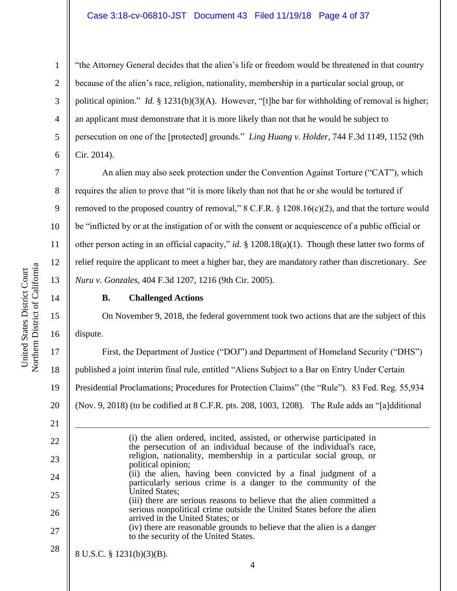## Case 3:18-cv-06810-JST Document 43 Filed 11/19/18 Page 4 of 37

12

13

14

15

16

21

22

23

24

25

26

27

28

1

"the Attorney General decides that the alien's life or freedom would be threatened in that country because of the alien's race, religion, nationality, membership in a particular social group, or political opinion." *Id.* § 1231(b)(3)(A). However, "[t]he bar for withholding of removal is higher; an applicant must demonstrate that it is more likely than not that he would be subject to persecution on one of the [protected] grounds." *Ling Huang v. Holder*, 744 F.3d 1149, 1152 (9th Cir. 2014).

An alien may also seek protection under the Convention Against Torture ("CAT"), which requires the alien to prove that "it is more likely than not that he or she would be tortured if removed to the proposed country of removal," 8 C.F.R. § 1208.16(c)(2), and that the torture would be "inflicted by or at the instigation of or with the consent or acquiescence of a public official or other person acting in an official capacity," *id.* § 1208.18(a)(1). Though these latter two forms of relief require the applicant to meet a higher bar, they are mandatory rather than discretionary. *See Nuru v. Gonzales*, 404 F.3d 1207, 1216 (9th Cir. 2005).

## **B. Challenged Actions**

On November 9, 2018, the federal government took two actions that are the subject of this dispute.

17 18 19 20 First, the Department of Justice ("DOJ") and Department of Homeland Security ("DHS") published a joint interim final rule, entitled "Aliens Subject to a Bar on Entry Under Certain Presidential Proclamations; Procedures for Protection Claims" (the "Rule"). 83 Fed. Reg. 55,934 (Nov. 9, 2018) (to be codified at 8 C.F.R. pts. 208, 1003, 1208). The Rule adds an "[a]dditional

1 (i) the alien ordered, incited, assisted, or otherwise participated in the persecution of an individual because of the individual's race, religion, nationality, membership in a particular social group, or political opinion; (ii) the alien, having been convicted by a final judgment of a particularly serious crime is a danger to the community of the United States; (iii) there are serious reasons to believe that the alien committed a serious nonpolitical crime outside the United States before the alien arrived in the United States; or (iv) there are reasonable grounds to believe that the alien is a danger to the security of the United States. 8 U.S.C. § 1231(b)(3)(B).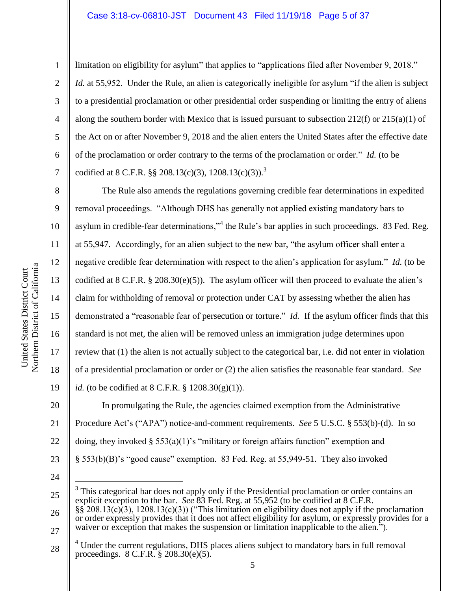#### Case 3:18-cv-06810-JST Document 43 Filed 11/19/18 Page 5 of 37

1

2

3

4

5

6

7

8

9

10

11

12

13

14

15

16

17

18

19

limitation on eligibility for asylum" that applies to "applications filed after November 9, 2018." *Id.* at 55,952. Under the Rule, an alien is categorically ineligible for asylum "if the alien is subject to a presidential proclamation or other presidential order suspending or limiting the entry of aliens along the southern border with Mexico that is issued pursuant to subsection 212(f) or 215(a)(1) of the Act on or after November 9, 2018 and the alien enters the United States after the effective date of the proclamation or order contrary to the terms of the proclamation or order." *Id.* (to be codified at 8 C.F.R. §§ 208.13(c)(3), 1208.13(c)(3)).<sup>3</sup>

The Rule also amends the regulations governing credible fear determinations in expedited removal proceedings. "Although DHS has generally not applied existing mandatory bars to asylum in credible-fear determinations,"<sup>4</sup> the Rule's bar applies in such proceedings. 83 Fed. Reg. at 55,947. Accordingly, for an alien subject to the new bar, "the asylum officer shall enter a negative credible fear determination with respect to the alien's application for asylum." *Id.* (to be codified at  $8 \text{ C.F.R. } \S 208.30(e)(5)$ . The asylum officer will then proceed to evaluate the alien's claim for withholding of removal or protection under CAT by assessing whether the alien has demonstrated a "reasonable fear of persecution or torture." *Id.* If the asylum officer finds that this standard is not met, the alien will be removed unless an immigration judge determines upon review that (1) the alien is not actually subject to the categorical bar, i.e. did not enter in violation of a presidential proclamation or order or (2) the alien satisfies the reasonable fear standard. *See id.* (to be codified at 8 C.F.R. § 1208.30(g)(1)).

In promulgating the Rule, the agencies claimed exemption from the Administrative

Procedure Act's ("APA") notice-and-comment requirements. *See* 5 U.S.C. § 553(b)-(d). In so

doing, they invoked  $\S 553(a)(1)$ 's "military or foreign affairs function" exemption and

§ 553(b)(B)'s "good cause" exemption. 83 Fed. Reg. at 55,949-51. They also invoked

24

25

 $\overline{a}$  $3$  This categorical bar does not apply only if the Presidential proclamation or order contains an explicit exception to the bar. *See* 83 Fed. Reg. at 55,952 (to be codified at 8 C.F.R.

<sup>26</sup> 27 §§ 208.13(c)(3), 1208.13(c)(3)) ("This limitation on eligibility does not apply if the proclamation or order expressly provides that it does not affect eligibility for asylum, or expressly provides for a waiver or exception that makes the suspension or limitation inapplicable to the alien.<sup>3</sup>.

<sup>28</sup> <sup>4</sup> Under the current regulations, DHS places aliens subject to mandatory bars in full removal proceedings. 8 C.F.R. § 208.30(e)(5).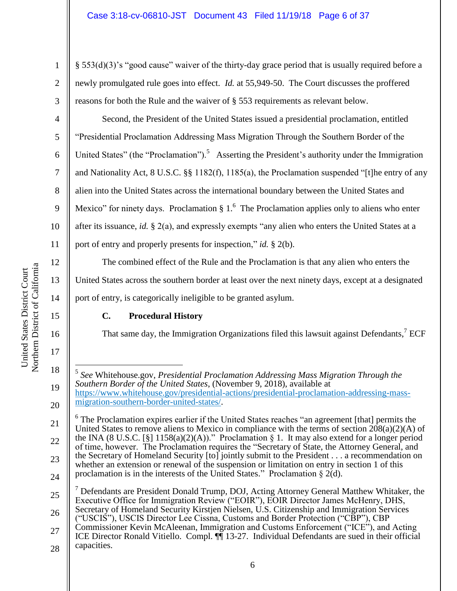§ 553(d)(3)'s "good cause" waiver of the thirty-day grace period that is usually required before a newly promulgated rule goes into effect. *Id.* at 55,949-50. The Court discusses the proffered reasons for both the Rule and the waiver of § 553 requirements as relevant below.

Second, the President of the United States issued a presidential proclamation, entitled "Presidential Proclamation Addressing Mass Migration Through the Southern Border of the United States" (the "Proclamation").<sup>5</sup> Asserting the President's authority under the Immigration and Nationality Act, 8 U.S.C. §§ 1182(f), 1185(a), the Proclamation suspended "[t]he entry of any alien into the United States across the international boundary between the United States and Mexico" for ninety days. Proclamation  $\S 1$ . The Proclamation applies only to aliens who enter after its issuance, *id.* § 2(a), and expressly exempts "any alien who enters the United States at a port of entry and properly presents for inspection," *id.* § 2(b).

The combined effect of the Rule and the Proclamation is that any alien who enters the United States across the southern border at least over the next ninety days, except at a designated port of entry, is categorically ineligible to be granted asylum.

# **C. Procedural History**

That same day, the Immigration Organizations filed this lawsuit against Defendants,<sup>7</sup> ECF

5 *See* Whitehouse.gov, *Presidential Proclamation Addressing Mass Migration Through the Southern Border of the United States*, (November 9, 2018), available at https://www.whitehouse.gov/presidential-actions/presidential-proclamation-addressing-mass-

21 22 23 24  $6$  The Proclamation expires earlier if the United States reaches "an agreement [that] permits the United States to remove aliens to Mexico in compliance with the terms of section  $208(a)(2)(A)$  of the INA (8 U.S.C. [§] 1158(a)(2)(A))." Proclamation § 1. It may also extend for a longer period of time, however. The Proclamation requires the "Secretary of State, the Attorney General, and the Secretary of Homeland Security [to] jointly submit to the President . . . a recommendation on whether an extension or renewal of the suspension or limitation on entry in section 1 of this proclamation is in the interests of the United States." Proclamation § 2(d).

1

2

3

4

5

6

7

8

9

10

11

12

13

14

15

16

17

18

 $\overline{a}$ 

19

<sup>20</sup> migration-southern-border-united-states/.

<sup>25</sup> 26  $<sup>7</sup>$  Defendants are President Donald Trump, DOJ, Acting Attorney General Matthew Whitaker, the</sup> Executive Office for Immigration Review ("EOIR"), EOIR Director James McHenry, DHS, Secretary of Homeland Security Kirstjen Nielsen, U.S. Citizenship and Immigration Services ("USCIS"), USCIS Director Lee Cissna, Customs and Border Protection ("CBP"), CBP Commissioner Kevin McAleenan, Immigration and Customs Enforcement ("ICE"), and Acting

<sup>27</sup> 28 ICE Director Ronald Vitiello. Compl. ¶¶ 13-27. Individual Defendants are sued in their official capacities.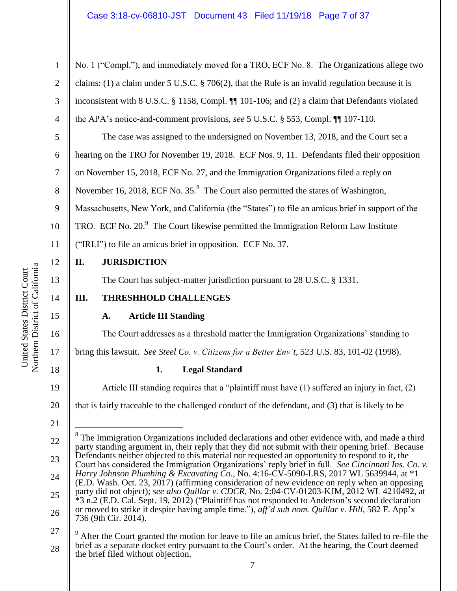No. 1 ("Compl."), and immediately moved for a TRO, ECF No. 8. The Organizations allege two claims: (1) a claim under 5 U.S.C. § 706(2), that the Rule is an invalid regulation because it is inconsistent with 8 U.S.C. § 1158, Compl. ¶¶ 101-106; and (2) a claim that Defendants violated the APA's notice-and-comment provisions, *see* 5 U.S.C. § 553, Compl. ¶¶ 107-110.

6 The case was assigned to the undersigned on November 13, 2018, and the Court set a hearing on the TRO for November 19, 2018. ECF Nos. 9, 11. Defendants filed their opposition on November 15, 2018, ECF No. 27, and the Immigration Organizations filed a reply on November 16, 2018, ECF No.  $35<sup>8</sup>$  The Court also permitted the states of Washington, Massachusetts, New York, and California (the "States") to file an amicus brief in support of the TRO. ECF No. 20. $9$  The Court likewise permitted the Immigration Reform Law Institute ("IRLI") to file an amicus brief in opposition. ECF No. 37.

# **II. JURISDICTION**

The Court has subject-matter jurisdiction pursuant to 28 U.S.C. § 1331.

# **III. THRESHHOLD CHALLENGES**

# **A. Article III Standing**

The Court addresses as a threshold matter the Immigration Organizations' standing to bring this lawsuit. *See Steel Co. v. Citizens for a Better Env't*, 523 U.S. 83, 101-02 (1998).

18

1

2

3

4

5

7

8

9

10

11

12

13

14

15

16

17

19

20

# **1. Legal Standard**

Article III standing requires that a "plaintiff must have (1) suffered an injury in fact, (2)

that is fairly traceable to the challenged conduct of the defendant, and (3) that is likely to be

<sup>22</sup> 23 24 25 26 27  $\overline{a}$ 8 The Immigration Organizations included declarations and other evidence with, and made a third party standing argument in, their reply that they did not submit with their opening brief. Because Defendants neither objected to this material nor requested an opportunity to respond to it, the Court has considered the Immigration Organizations' reply brief in full. *See Cincinnati Ins. Co. v. Harry Johnson Plumbing & Excavating Co.*, No. 4:16-CV-5090-LRS, 2017 WL 5639944, at \*1 (E.D. Wash. Oct. 23, 2017) (affirming consideration of new evidence on reply when an opposing party did not object); *see also Quillar v. CDCR*, No. 2:04-CV-01203-KJM, 2012 WL 4210492, at \*3 n.2 (E.D. Cal. Sept. 19, 2012) ("Plaintiff has not responded to Anderson's second declaration or moved to strike it despite having ample time."), *aff'd sub nom. Quillar v. Hill*, 582 F. App'x 736 (9th Cir. 2014). <sup>9</sup> After the Court granted the motion for leave to file an amicus brief, the States failed to re-file the

<sup>28</sup> brief as a separate docket entry pursuant to the Court's order. At the hearing, the Court deemed the brief filed without objection.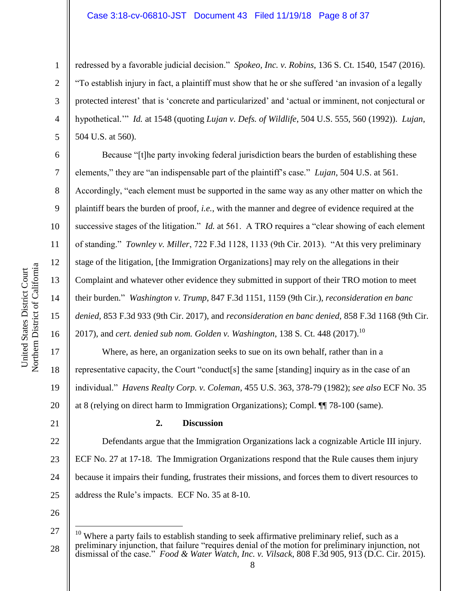#### Case 3:18-cv-06810-JST Document 43 Filed 11/19/18 Page 8 of 37

redressed by a favorable judicial decision." *Spokeo, Inc. v. Robins*, 136 S. Ct. 1540, 1547 (2016). "To establish injury in fact, a plaintiff must show that he or she suffered 'an invasion of a legally protected interest' that is 'concrete and particularized' and 'actual or imminent, not conjectural or hypothetical.'" *Id.* at 1548 (quoting *Lujan v. Defs. of Wildlife*, 504 U.S. 555, 560 (1992)). *Lujan*, 504 U.S. at 560).

Because "[t]he party invoking federal jurisdiction bears the burden of establishing these elements," they are "an indispensable part of the plaintiff's case." *Lujan*, 504 U.S. at 561. Accordingly, "each element must be supported in the same way as any other matter on which the plaintiff bears the burden of proof, *i.e.*, with the manner and degree of evidence required at the successive stages of the litigation." *Id.* at 561. A TRO requires a "clear showing of each element of standing." *Townley v. Miller*, 722 F.3d 1128, 1133 (9th Cir. 2013). "At this very preliminary stage of the litigation, [the Immigration Organizations] may rely on the allegations in their Complaint and whatever other evidence they submitted in support of their TRO motion to meet their burden." *Washington v. Trump*, 847 F.3d 1151, 1159 (9th Cir.), *reconsideration en banc denied,* 853 F.3d 933 (9th Cir. 2017), and *reconsideration en banc denied,* 858 F.3d 1168 (9th Cir. 2017), and *cert. denied sub nom. Golden v. Washington*, 138 S. Ct. 448 (2017). 10

Where, as here, an organization seeks to sue on its own behalf, rather than in a representative capacity, the Court "conduct[s] the same [standing] inquiry as in the case of an individual." *Havens Realty Corp. v. Coleman*, 455 U.S. 363, 378-79 (1982); *see also* ECF No. 35 at 8 (relying on direct harm to Immigration Organizations); Compl. ¶¶ 78-100 (same).

21

1

2

3

4

5

6

7

8

9

10

11

12

13

14

15

16

17

18

19

20

## **2. Discussion**

22 23 24 25 Defendants argue that the Immigration Organizations lack a cognizable Article III injury. ECF No. 27 at 17-18. The Immigration Organizations respond that the Rule causes them injury because it impairs their funding, frustrates their missions, and forces them to divert resources to address the Rule's impacts. ECF No. 35 at 8-10.

26

 $\overline{a}$ 

<sup>27</sup> 28 Where a party fails to establish standing to seek affirmative preliminary relief, such as a preliminary injunction, that failure "requires denial of the motion for preliminary injunction, not dismissal of the case." *Food & Water Watch, Inc. v. Vilsack*, 808 F.3d 905, 913 (D.C. Cir. 2015).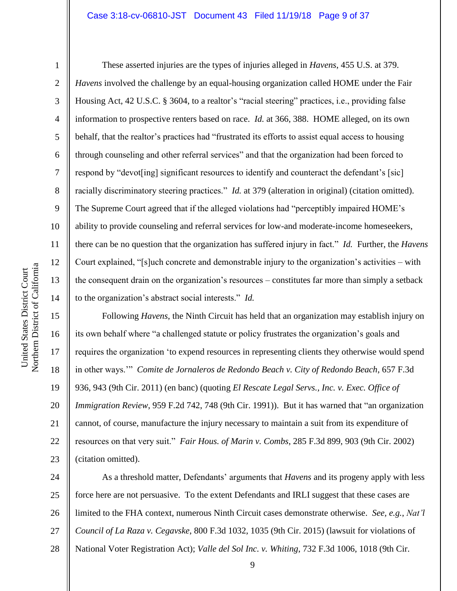#### Case 3:18-cv-06810-JST Document 43 Filed 11/19/18 Page 9 of 37

1

2

3

4

5

6

7

8

9

10

11

12

13

14

These asserted injuries are the types of injuries alleged in *Havens*, 455 U.S. at 379. *Havens* involved the challenge by an equal-housing organization called HOME under the Fair Housing Act, 42 U.S.C. § 3604, to a realtor's "racial steering" practices, i.e., providing false information to prospective renters based on race. *Id.* at 366, 388. HOME alleged, on its own behalf, that the realtor's practices had "frustrated its efforts to assist equal access to housing through counseling and other referral services" and that the organization had been forced to respond by "devot[ing] significant resources to identify and counteract the defendant's [sic] racially discriminatory steering practices." *Id.* at 379 (alteration in original) (citation omitted). The Supreme Court agreed that if the alleged violations had "perceptibly impaired HOME's ability to provide counseling and referral services for low-and moderate-income homeseekers, there can be no question that the organization has suffered injury in fact." *Id.* Further, the *Havens* Court explained, "[s]uch concrete and demonstrable injury to the organization's activities – with the consequent drain on the organization's resources – constitutes far more than simply a setback to the organization's abstract social interests." *Id.*

15 16 17 18 19 20 21 22 23 Following *Havens*, the Ninth Circuit has held that an organization may establish injury on its own behalf where "a challenged statute or policy frustrates the organization's goals and requires the organization 'to expend resources in representing clients they otherwise would spend in other ways.'" *Comite de Jornaleros de Redondo Beach v. City of Redondo Beach*, 657 F.3d 936, 943 (9th Cir. 2011) (en banc) (quoting *El Rescate Legal Servs., Inc. v. Exec. Office of Immigration Review*, 959 F.2d 742, 748 (9th Cir. 1991)). But it has warned that "an organization cannot, of course, manufacture the injury necessary to maintain a suit from its expenditure of resources on that very suit." *Fair Hous. of Marin v. Combs*, 285 F.3d 899, 903 (9th Cir. 2002) (citation omitted).

24 25 26 27 28 As a threshold matter, Defendants' arguments that *Havens* and its progeny apply with less force here are not persuasive. To the extent Defendants and IRLI suggest that these cases are limited to the FHA context, numerous Ninth Circuit cases demonstrate otherwise. *See, e.g.*, *Nat'l Council of La Raza v. Cegavske*, 800 F.3d 1032, 1035 (9th Cir. 2015) (lawsuit for violations of National Voter Registration Act); *Valle del Sol Inc. v. Whiting*, 732 F.3d 1006, 1018 (9th Cir.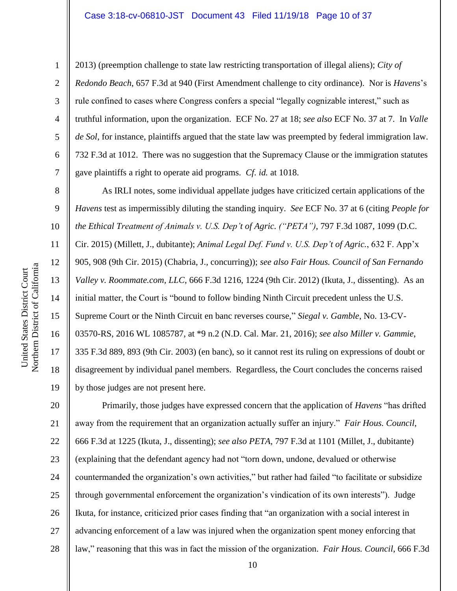1

2

3

4

5

6

7

8

9

10

11

12

13

14

15

United States District Court

United States District Court

16

17

18

19

2013) (preemption challenge to state law restricting transportation of illegal aliens); *City of Redondo Beach*, 657 F.3d at 940 (First Amendment challenge to city ordinance). Nor is *Havens*'s rule confined to cases where Congress confers a special "legally cognizable interest," such as truthful information, upon the organization. ECF No. 27 at 18; *see also* ECF No. 37 at 7. In *Valle de Sol*, for instance, plaintiffs argued that the state law was preempted by federal immigration law. 732 F.3d at 1012. There was no suggestion that the Supremacy Clause or the immigration statutes gave plaintiffs a right to operate aid programs. *Cf. id.* at 1018.

As IRLI notes, some individual appellate judges have criticized certain applications of the *Havens* test as impermissibly diluting the standing inquiry. *See* ECF No. 37 at 6 (citing *People for the Ethical Treatment of Animals v. U.S. Dep't of Agric. ("PETA")*, 797 F.3d 1087, 1099 (D.C. Cir. 2015) (Millett, J., dubitante); *Animal Legal Def. Fund v. U.S. Dep't of Agric.*, 632 F. App'x 905, 908 (9th Cir. 2015) (Chabria, J., concurring)); *see also Fair Hous. Council of San Fernando Valley v. Roommate.com, LLC*, 666 F.3d 1216, 1224 (9th Cir. 2012) (Ikuta, J., dissenting). As an initial matter, the Court is "bound to follow binding Ninth Circuit precedent unless the U.S. Supreme Court or the Ninth Circuit en banc reverses course," *Siegal v. Gamble*, No. 13-CV-03570-RS, 2016 WL 1085787, at \*9 n.2 (N.D. Cal. Mar. 21, 2016); *see also Miller v. Gammie*, 335 F.3d 889, 893 (9th Cir. 2003) (en banc), so it cannot rest its ruling on expressions of doubt or disagreement by individual panel members. Regardless, the Court concludes the concerns raised by those judges are not present here.

20 21 22 23 24 25 26 27 28 Primarily, those judges have expressed concern that the application of *Havens* "has drifted away from the requirement that an organization actually suffer an injury." *Fair Hous. Council*, 666 F.3d at 1225 (Ikuta, J., dissenting); *see also PETA*, 797 F.3d at 1101 (Millet, J., dubitante) (explaining that the defendant agency had not "torn down, undone, devalued or otherwise countermanded the organization's own activities," but rather had failed "to facilitate or subsidize through governmental enforcement the organization's vindication of its own interests"). Judge Ikuta, for instance, criticized prior cases finding that "an organization with a social interest in advancing enforcement of a law was injured when the organization spent money enforcing that law," reasoning that this was in fact the mission of the organization. *Fair Hous. Council*, 666 F.3d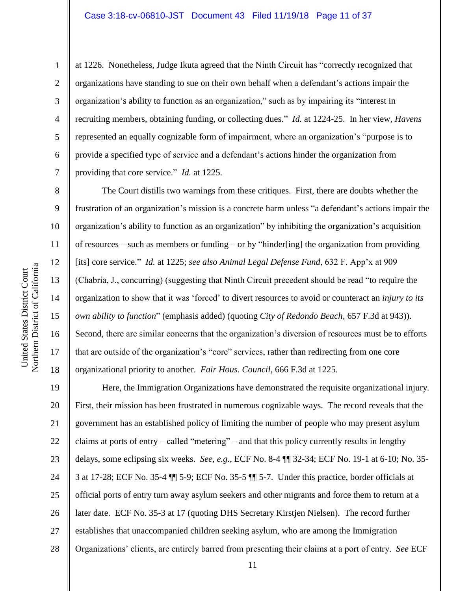at 1226. Nonetheless, Judge Ikuta agreed that the Ninth Circuit has "correctly recognized that organizations have standing to sue on their own behalf when a defendant's actions impair the organization's ability to function as an organization," such as by impairing its "interest in recruiting members, obtaining funding, or collecting dues." *Id.* at 1224-25. In her view, *Havens* represented an equally cognizable form of impairment, where an organization's "purpose is to provide a specified type of service and a defendant's actions hinder the organization from providing that core service." *Id.* at 1225.

The Court distills two warnings from these critiques. First, there are doubts whether the frustration of an organization's mission is a concrete harm unless "a defendant's actions impair the organization's ability to function as an organization" by inhibiting the organization's acquisition of resources – such as members or funding – or by "hinder[ing] the organization from providing [its] core service." *Id.* at 1225; *see also Animal Legal Defense Fund*, 632 F. App'x at 909 (Chabria, J., concurring) (suggesting that Ninth Circuit precedent should be read "to require the organization to show that it was 'forced' to divert resources to avoid or counteract an *injury to its own ability to function*" (emphasis added) (quoting *City of Redondo Beach*, 657 F.3d at 943)). Second, there are similar concerns that the organization's diversion of resources must be to efforts that are outside of the organization's "core" services, rather than redirecting from one core organizational priority to another. *Fair Hous. Council*, 666 F.3d at 1225.

19 20 21 22 23 24 25 26 27 28 Here, the Immigration Organizations have demonstrated the requisite organizational injury. First, their mission has been frustrated in numerous cognizable ways. The record reveals that the government has an established policy of limiting the number of people who may present asylum claims at ports of entry – called "metering" – and that this policy currently results in lengthy delays, some eclipsing six weeks. *See, e.g.*, ECF No. 8-4 ¶¶ 32-34; ECF No. 19-1 at 6-10; No. 35- 3 at 17-28; ECF No. 35-4 ¶¶ 5-9; ECF No. 35-5 ¶¶ 5-7. Under this practice, border officials at official ports of entry turn away asylum seekers and other migrants and force them to return at a later date. ECF No. 35-3 at 17 (quoting DHS Secretary Kirstjen Nielsen). The record further establishes that unaccompanied children seeking asylum, who are among the Immigration Organizations' clients, are entirely barred from presenting their claims at a port of entry. *See* ECF

1

2

3

4

5

6

7

8

9

10

11

12

13

14

15

16

17

18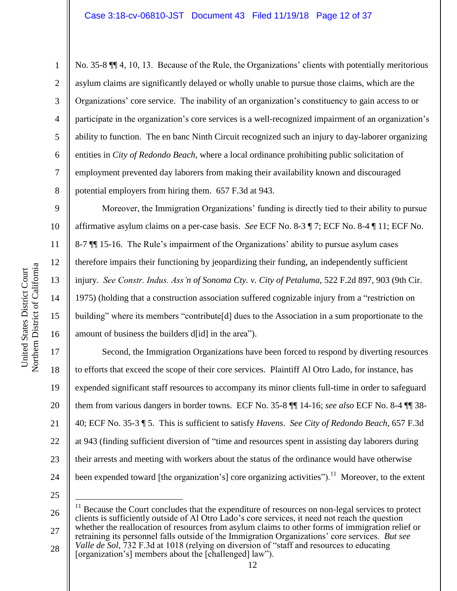No. 35-8 ¶¶ 4, 10, 13. Because of the Rule, the Organizations' clients with potentially meritorious asylum claims are significantly delayed or wholly unable to pursue those claims, which are the Organizations' core service. The inability of an organization's constituency to gain access to or participate in the organization's core services is a well-recognized impairment of an organization's ability to function. The en banc Ninth Circuit recognized such an injury to day-laborer organizing entities in *City of Redondo Beach*, where a local ordinance prohibiting public solicitation of employment prevented day laborers from making their availability known and discouraged potential employers from hiring them. 657 F.3d at 943.

Moreover, the Immigration Organizations' funding is directly tied to their ability to pursue affirmative asylum claims on a per-case basis. *See* ECF No. 8-3 ¶ 7; ECF No. 8-4 ¶ 11; ECF No. 8-7 ¶¶ 15-16. The Rule's impairment of the Organizations' ability to pursue asylum cases therefore impairs their functioning by jeopardizing their funding, an independently sufficient injury. *See Constr. Indus. Ass'n of Sonoma Cty. v. City of Petaluma*, 522 F.2d 897, 903 (9th Cir. 1975) (holding that a construction association suffered cognizable injury from a "restriction on building" where its members "contribute[d] dues to the Association in a sum proportionate to the amount of business the builders d[id] in the area").

17 18 19 20 21 22 23 24 Second, the Immigration Organizations have been forced to respond by diverting resources to efforts that exceed the scope of their core services. Plaintiff Al Otro Lado, for instance, has expended significant staff resources to accompany its minor clients full-time in order to safeguard them from various dangers in border towns. ECF No. 35-8 ¶¶ 14-16; *see also* ECF No. 8-4 ¶¶ 38- 40; ECF No. 35-3 ¶ 5. This is sufficient to satisfy *Havens*. *See City of Redondo Beach*, 657 F.3d at 943 (finding sufficient diversion of "time and resources spent in assisting day laborers during their arrests and meeting with workers about the status of the ordinance would have otherwise been expended toward [the organization's] core organizing activities").<sup>11</sup> Moreover, to the extent

25

 $\overline{a}$ 

26 27  $11$  Because the Court concludes that the expenditure of resources on non-legal services to protect clients is sufficiently outside of Al Otro Lado's core services, it need not reach the question whether the reallocation of resources from asylum claims to other forms of immigration relief or

28 retraining its personnel falls outside of the Immigration Organizations' core services. *But see Valle de Sol*, 732 F.3d at 1018 (relying on diversion of "staff and resources to educating [organization's] members about the [challenged] law").

1

2

3

4

5

6

7

8

9

10

11

12

13

14

15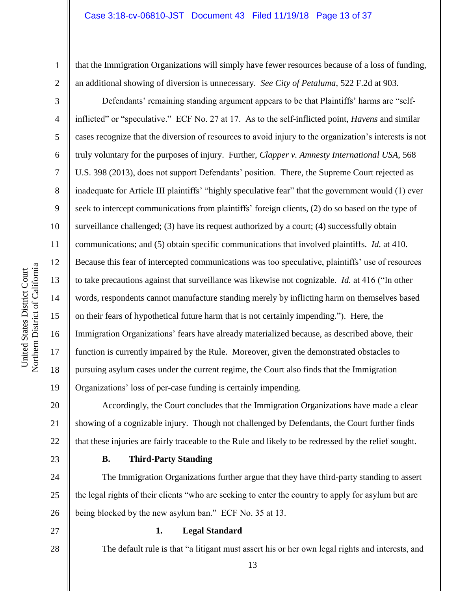that the Immigration Organizations will simply have fewer resources because of a loss of funding, an additional showing of diversion is unnecessary. *See City of Petaluma*, 522 F.2d at 903.

Defendants' remaining standing argument appears to be that Plaintiffs' harms are "selfinflicted" or "speculative." ECF No. 27 at 17. As to the self-inflicted point, *Havens* and similar cases recognize that the diversion of resources to avoid injury to the organization's interests is not truly voluntary for the purposes of injury. Further, *Clapper v. Amnesty International USA*, 568 U.S. 398 (2013), does not support Defendants' position. There, the Supreme Court rejected as inadequate for Article III plaintiffs' "highly speculative fear" that the government would (1) ever seek to intercept communications from plaintiffs' foreign clients, (2) do so based on the type of surveillance challenged; (3) have its request authorized by a court; (4) successfully obtain communications; and (5) obtain specific communications that involved plaintiffs. *Id.* at 410. Because this fear of intercepted communications was too speculative, plaintiffs' use of resources to take precautions against that surveillance was likewise not cognizable. *Id.* at 416 ("In other words, respondents cannot manufacture standing merely by inflicting harm on themselves based on their fears of hypothetical future harm that is not certainly impending."). Here, the Immigration Organizations' fears have already materialized because, as described above, their function is currently impaired by the Rule. Moreover, given the demonstrated obstacles to pursuing asylum cases under the current regime, the Court also finds that the Immigration Organizations' loss of per-case funding is certainly impending.

20 21 22 Accordingly, the Court concludes that the Immigration Organizations have made a clear showing of a cognizable injury. Though not challenged by Defendants, the Court further finds that these injuries are fairly traceable to the Rule and likely to be redressed by the relief sought.

23

# **B. Third-Party Standing**

24 25 26 The Immigration Organizations further argue that they have third-party standing to assert the legal rights of their clients "who are seeking to enter the country to apply for asylum but are being blocked by the new asylum ban." ECF No. 35 at 13.

27 28

# **1. Legal Standard**

The default rule is that "a litigant must assert his or her own legal rights and interests, and

Northern District of California Northern District of California United States District Court United States District Court

1

2

3

4

5

6

7

8

9

10

11

12

13

14

15

16

17

18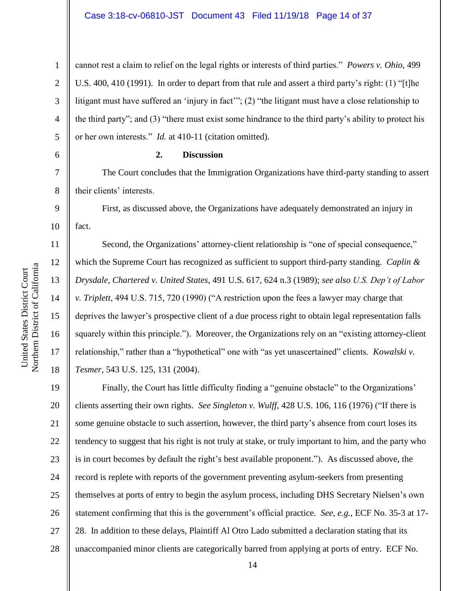cannot rest a claim to relief on the legal rights or interests of third parties." *Powers v. Ohio*, 499 U.S. 400, 410 (1991). In order to depart from that rule and assert a third party's right: (1) "[t]he litigant must have suffered an 'injury in fact'"; (2) "the litigant must have a close relationship to the third party"; and (3) "there must exist some hindrance to the third party's ability to protect his or her own interests." *Id.* at 410-11 (citation omitted).

#### 6

1

2

3

4

5

7

8

9

10

11

12

13

14

15

16

17

18

#### **2. Discussion**

The Court concludes that the Immigration Organizations have third-party standing to assert their clients' interests.

First, as discussed above, the Organizations have adequately demonstrated an injury in fact.

Second, the Organizations' attorney-client relationship is "one of special consequence," which the Supreme Court has recognized as sufficient to support third-party standing. *Caplin & Drysdale, Chartered v. United States*, 491 U.S. 617, 624 n.3 (1989); *see also U.S. Dep't of Labor v. Triplett*, 494 U.S. 715, 720 (1990) ("A restriction upon the fees a lawyer may charge that deprives the lawyer's prospective client of a due process right to obtain legal representation falls squarely within this principle."). Moreover, the Organizations rely on an "existing attorney-client relationship," rather than a "hypothetical" one with "as yet unascertained" clients. *Kowalski v. Tesmer*, 543 U.S. 125, 131 (2004).

19 20 21 22 23 24 25 26 27 28 Finally, the Court has little difficulty finding a "genuine obstacle" to the Organizations' clients asserting their own rights. *See Singleton v. Wulff*, 428 U.S. 106, 116 (1976) ("If there is some genuine obstacle to such assertion, however, the third party's absence from court loses its tendency to suggest that his right is not truly at stake, or truly important to him, and the party who is in court becomes by default the right's best available proponent."). As discussed above, the record is replete with reports of the government preventing asylum-seekers from presenting themselves at ports of entry to begin the asylum process, including DHS Secretary Nielsen's own statement confirming that this is the government's official practice. *See, e.g.*, ECF No. 35-3 at 17- 28. In addition to these delays, Plaintiff Al Otro Lado submitted a declaration stating that its unaccompanied minor clients are categorically barred from applying at ports of entry. ECF No.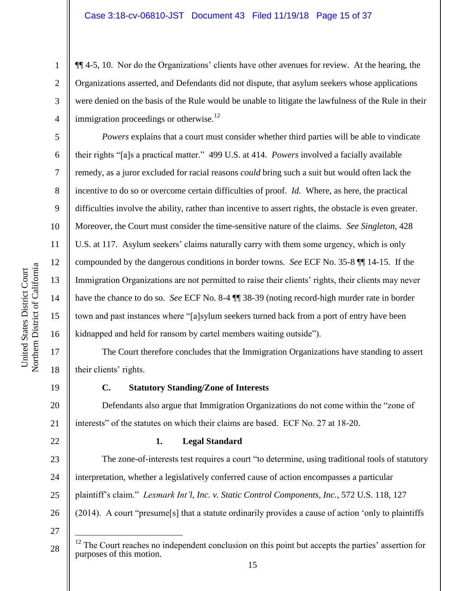¶¶ 4-5, 10. Nor do the Organizations' clients have other avenues for review. At the hearing, the Organizations asserted, and Defendants did not dispute, that asylum seekers whose applications were denied on the basis of the Rule would be unable to litigate the lawfulness of the Rule in their immigration proceedings or otherwise. $12$ 

*Powers* explains that a court must consider whether third parties will be able to vindicate their rights "[a]s a practical matter." 499 U.S. at 414. *Powers* involved a facially available remedy, as a juror excluded for racial reasons *could* bring such a suit but would often lack the incentive to do so or overcome certain difficulties of proof. *Id.* Where, as here, the practical difficulties involve the ability, rather than incentive to assert rights, the obstacle is even greater. Moreover, the Court must consider the time-sensitive nature of the claims. *See Singleton*, 428 U.S. at 117. Asylum seekers' claims naturally carry with them some urgency, which is only compounded by the dangerous conditions in border towns. *See* ECF No. 35-8 ¶¶ 14-15. If the Immigration Organizations are not permitted to raise their clients' rights, their clients may never have the chance to do so. *See* ECF No. 8-4 ¶¶ 38-39 (noting record-high murder rate in border town and past instances where "[a]sylum seekers turned back from a port of entry have been kidnapped and held for ransom by cartel members waiting outside").

The Court therefore concludes that the Immigration Organizations have standing to assert their clients' rights.

19

1

2

3

4

5

6

7

8

9

10

11

12

13

14

15

16

17

18

20

21

22

28

# **C. Statutory Standing/Zone of Interests**

Defendants also argue that Immigration Organizations do not come within the "zone of interests" of the statutes on which their claims are based. ECF No. 27 at 18-20.

## **1. Legal Standard**

23 24 25 26 27 The zone-of-interests test requires a court "to determine, using traditional tools of statutory interpretation, whether a legislatively conferred cause of action encompasses a particular plaintiff's claim." *Lexmark Int'l, Inc. v. Static Control Components, Inc.*, 572 U.S. 118, 127 (2014). A court "presume[s] that a statute ordinarily provides a cause of action 'only to plaintiffs  $\overline{a}$ 

<sup>&</sup>lt;sup>12</sup> The Court reaches no independent conclusion on this point but accepts the parties' assertion for purposes of this motion.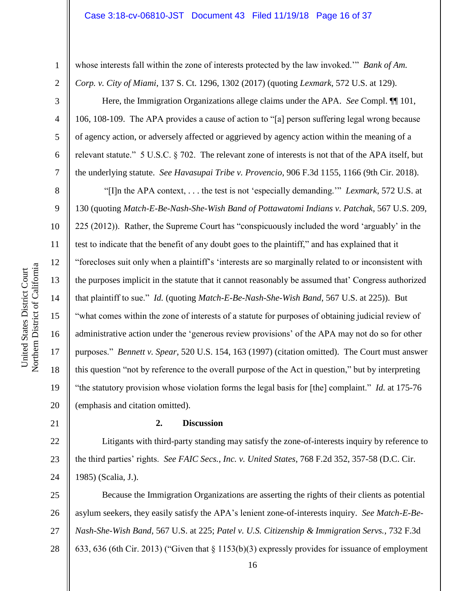2 3

4

5

6

7

8

9

10

11

12

13

14

15

16

17

18

19

20

1

whose interests fall within the zone of interests protected by the law invoked." *Bank of Am. Corp. v. City of Miami*, 137 S. Ct. 1296, 1302 (2017) (quoting *Lexmark*, 572 U.S. at 129).

Here, the Immigration Organizations allege claims under the APA. *See* Compl. ¶¶ 101, 106, 108-109. The APA provides a cause of action to "[a] person suffering legal wrong because of agency action, or adversely affected or aggrieved by agency action within the meaning of a relevant statute." 5 U.S.C. § 702. The relevant zone of interests is not that of the APA itself, but the underlying statute. *See Havasupai Tribe v. Provencio*, 906 F.3d 1155, 1166 (9th Cir. 2018).

"[I]n the APA context, . . . the test is not 'especially demanding.'" *Lexmark*, 572 U.S. at 130 (quoting *Match-E-Be-Nash-She-Wish Band of Pottawatomi Indians v. Patchak*, 567 U.S. 209, 225 (2012)). Rather, the Supreme Court has "conspicuously included the word 'arguably' in the test to indicate that the benefit of any doubt goes to the plaintiff," and has explained that it "forecloses suit only when a plaintiff's 'interests are so marginally related to or inconsistent with the purposes implicit in the statute that it cannot reasonably be assumed that' Congress authorized that plaintiff to sue." *Id.* (quoting *Match-E-Be-Nash-She-Wish Band*, 567 U.S. at 225)). But "what comes within the zone of interests of a statute for purposes of obtaining judicial review of administrative action under the 'generous review provisions' of the APA may not do so for other purposes." *Bennett v. Spear*, 520 U.S. 154, 163 (1997) (citation omitted). The Court must answer this question "not by reference to the overall purpose of the Act in question," but by interpreting "the statutory provision whose violation forms the legal basis for [the] complaint." *Id.* at 175-76 (emphasis and citation omitted).

21

## **2. Discussion**

22 23 24 Litigants with third-party standing may satisfy the zone-of-interests inquiry by reference to the third parties' rights. *See FAIC Secs., Inc. v. United States*, 768 F.2d 352, 357-58 (D.C. Cir. 1985) (Scalia, J.).

25 26 27 28 Because the Immigration Organizations are asserting the rights of their clients as potential asylum seekers, they easily satisfy the APA's lenient zone-of-interests inquiry. *See Match-E-Be-Nash-She-Wish Band*, 567 U.S. at 225; *Patel v. U.S. Citizenship & Immigration Servs.*, 732 F.3d 633, 636 (6th Cir. 2013) ("Given that § 1153(b)(3) expressly provides for issuance of employment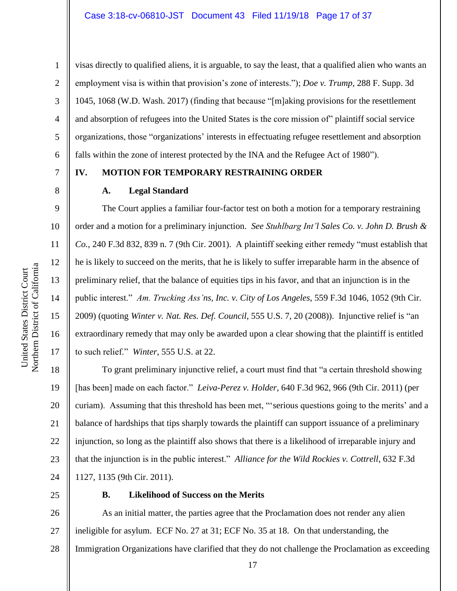visas directly to qualified aliens, it is arguable, to say the least, that a qualified alien who wants an employment visa is within that provision's zone of interests."); *Doe v. Trump*, 288 F. Supp. 3d 1045, 1068 (W.D. Wash. 2017) (finding that because "[m]aking provisions for the resettlement and absorption of refugees into the United States is the core mission of" plaintiff social service organizations, those "organizations' interests in effectuating refugee resettlement and absorption falls within the zone of interest protected by the INA and the Refugee Act of 1980").

# **IV. MOTION FOR TEMPORARY RESTRAINING ORDER**

# **A. Legal Standard**

The Court applies a familiar four-factor test on both a motion for a temporary restraining order and a motion for a preliminary injunction. *See Stuhlbarg Int'l Sales Co. v. John D. Brush & Co.*, 240 F.3d 832, 839 n. 7 (9th Cir. 2001). A plaintiff seeking either remedy "must establish that he is likely to succeed on the merits, that he is likely to suffer irreparable harm in the absence of preliminary relief, that the balance of equities tips in his favor, and that an injunction is in the public interest." *Am. Trucking Ass'ns, Inc. v. City of Los Angeles*, 559 F.3d 1046, 1052 (9th Cir. 2009) (quoting *Winter v. Nat. Res. Def. Council*, 555 U.S. 7, 20 (2008)). Injunctive relief is "an extraordinary remedy that may only be awarded upon a clear showing that the plaintiff is entitled to such relief." *Winter*, 555 U.S. at 22.

18 19 20 21 22 23 24 To grant preliminary injunctive relief, a court must find that "a certain threshold showing [has been] made on each factor." *Leiva-Perez v. Holder*, 640 F.3d 962, 966 (9th Cir. 2011) (per curiam). Assuming that this threshold has been met, "'serious questions going to the merits' and a balance of hardships that tips sharply towards the plaintiff can support issuance of a preliminary injunction, so long as the plaintiff also shows that there is a likelihood of irreparable injury and that the injunction is in the public interest." *Alliance for the Wild Rockies v. Cottrell*, 632 F.3d 1127, 1135 (9th Cir. 2011).

25

#### **B. Likelihood of Success on the Merits**

26 27 28 As an initial matter, the parties agree that the Proclamation does not render any alien ineligible for asylum. ECF No. 27 at 31; ECF No. 35 at 18. On that understanding, the Immigration Organizations have clarified that they do not challenge the Proclamation as exceeding

1

2

3

4

5

6

7

8

9

10

11

12

13

14

15

16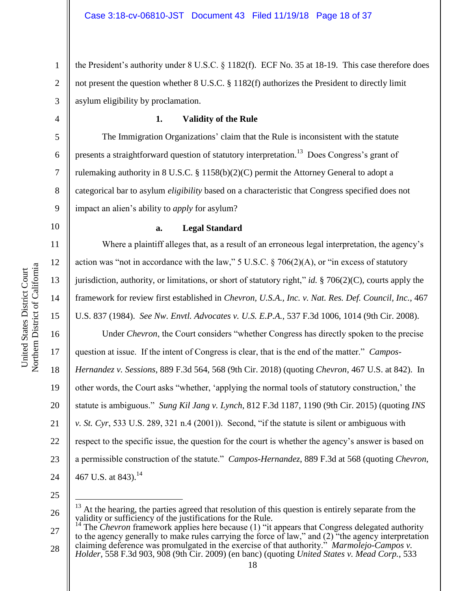the President's authority under 8 U.S.C. § 1182(f). ECF No. 35 at 18-19. This case therefore does not present the question whether 8 U.S.C. § 1182(f) authorizes the President to directly limit asylum eligibility by proclamation.

# **1. Validity of the Rule**

The Immigration Organizations' claim that the Rule is inconsistent with the statute presents a straightforward question of statutory interpretation.<sup>13</sup> Does Congress's grant of rulemaking authority in 8 U.S.C. § 1158(b)(2)(C) permit the Attorney General to adopt a categorical bar to asylum *eligibility* based on a characteristic that Congress specified does not impact an alien's ability to *apply* for asylum?

10

11

12

1

2

3

4

5

6

7

8

9

#### **a. Legal Standard**

Where a plaintiff alleges that, as a result of an erroneous legal interpretation, the agency's action was "not in accordance with the law," 5 U.S.C.  $\S$  706(2)(A), or "in excess of statutory jurisdiction, authority, or limitations, or short of statutory right," *id.* § 706(2)(C), courts apply the framework for review first established in *Chevron, U.S.A., Inc. v. Nat. Res. Def. Council, Inc.*, 467 U.S. 837 (1984). *See Nw. Envtl. Advocates v. U.S. E.P.A.*, 537 F.3d 1006, 1014 (9th Cir. 2008).

18 19 20 21 22 23 24 Under *Chevron*, the Court considers "whether Congress has directly spoken to the precise question at issue. If the intent of Congress is clear, that is the end of the matter." *Campos-Hernandez v. Sessions*, 889 F.3d 564, 568 (9th Cir. 2018) (quoting *Chevron*, 467 U.S. at 842). In other words, the Court asks "whether, 'applying the normal tools of statutory construction,' the statute is ambiguous." *Sung Kil Jang v. Lynch*, 812 F.3d 1187, 1190 (9th Cir. 2015) (quoting *INS v. St. Cyr*, 533 U.S. 289, 321 n.4 (2001)). Second, "if the statute is silent or ambiguous with respect to the specific issue, the question for the court is whether the agency's answer is based on a permissible construction of the statute." *Campos-Hernandez*, 889 F.3d at 568 (quoting *Chevron*, 467 U.S. at 843).<sup>14</sup>

25

 $\overline{a}$ 

26

27 28 <sup>14</sup> The *Chevron* framework applies here because (1) "it appears that Congress delegated authority to the agency generally to make rules carrying the force of law," and (2) "the agency interpretation claiming deference was promulgated in the exercise of that authority." *Marmolejo-Campos v. Holder*, 558 F.3d 903, 908 (9th Cir. 2009) (en banc) (quoting *United States v. Mead Corp.*, 533

 $13$  At the hearing, the parties agreed that resolution of this question is entirely separate from the validity or sufficiency of the justifications for the Rule.<br><sup>14</sup> The *Chavron* from  $\frac{1}{2}$ .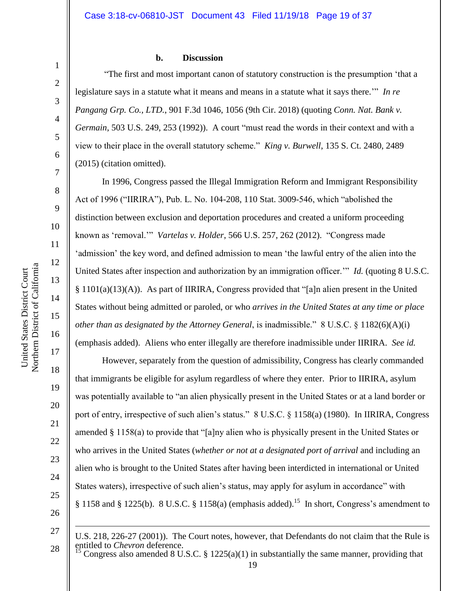10

11

12

13

14

15

16

17

18

19

20

21

22

23

24

25

26

1

#### **b. Discussion**

"The first and most important canon of statutory construction is the presumption 'that a legislature says in a statute what it means and means in a statute what it says there.'" *In re Pangang Grp. Co., LTD.*, 901 F.3d 1046, 1056 (9th Cir. 2018) (quoting *Conn. Nat. Bank v. Germain*, 503 U.S. 249, 253 (1992)). A court "must read the words in their context and with a view to their place in the overall statutory scheme." *King v. Burwell*, 135 S. Ct. 2480, 2489 (2015) (citation omitted).

In 1996, Congress passed the Illegal Immigration Reform and Immigrant Responsibility Act of 1996 ("IIRIRA"), Pub. L. No. 104-208, 110 Stat. 3009-546, which "abolished the distinction between exclusion and deportation procedures and created a uniform proceeding known as 'removal.'" *Vartelas v. Holder*, 566 U.S. 257, 262 (2012). "Congress made 'admission' the key word, and defined admission to mean 'the lawful entry of the alien into the United States after inspection and authorization by an immigration officer.'" *Id.* (quoting 8 U.S.C.  $§ 1101(a)(13)(A)$ . As part of IIRIRA, Congress provided that "[a]n alien present in the United States without being admitted or paroled, or who *arrives in the United States at any time or place other than as designated by the Attorney General, is inadmissible.*" 8 U.S.C. § 1182(6)(A)(i) (emphasis added). Aliens who enter illegally are therefore inadmissible under IIRIRA. *See id.*

However, separately from the question of admissibility, Congress has clearly commanded that immigrants be eligible for asylum regardless of where they enter. Prior to IIRIRA, asylum was potentially available to "an alien physically present in the United States or at a land border or port of entry, irrespective of such alien's status." 8 U.S.C. § 1158(a) (1980). In IIRIRA, Congress amended § 1158(a) to provide that "[a]ny alien who is physically present in the United States or who arrives in the United States (*whether or not at a designated port of arrival* and including an alien who is brought to the United States after having been interdicted in international or United States waters), irrespective of such alien's status, may apply for asylum in accordance" with § 1158 and § 1225(b). 8 U.S.C. § 1158(a) (emphasis added).<sup>15</sup> In short, Congress's amendment to

1

28

U.S. 218, 226-27 (2001)). The Court notes, however, that Defendants do not claim that the Rule is entitled to *Chevron* deference.

Congress also amended 8 U.S.C. § 1225(a)(1) in substantially the same manner, providing that

<sup>27</sup>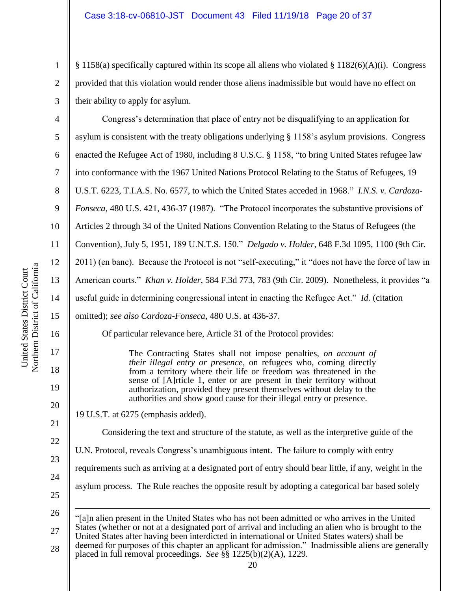§ 1158(a) specifically captured within its scope all aliens who violated § 1182(6)(A)(i). Congress provided that this violation would render those aliens inadmissible but would have no effect on their ability to apply for asylum.

4 5 6 7 8 9 10 11 12 13 14 15 16 17 Congress's determination that place of entry not be disqualifying to an application for asylum is consistent with the treaty obligations underlying § 1158's asylum provisions. Congress enacted the Refugee Act of 1980, including 8 U.S.C. § 1158, "to bring United States refugee law into conformance with the 1967 United Nations Protocol Relating to the Status of Refugees, 19 U.S.T. 6223, T.I.A.S. No. 6577, to which the United States acceded in 1968." *I.N.S. v. Cardoza-Fonseca*, 480 U.S. 421, 436-37 (1987). "The Protocol incorporates the substantive provisions of Articles 2 through 34 of the United Nations Convention Relating to the Status of Refugees (the Convention), July 5, 1951, 189 U.N.T.S. 150." *Delgado v. Holder*, 648 F.3d 1095, 1100 (9th Cir. 2011) (en banc). Because the Protocol is not "self-executing," it "does not have the force of law in American courts." *Khan v. Holder*, 584 F.3d 773, 783 (9th Cir. 2009). Nonetheless, it provides "a useful guide in determining congressional intent in enacting the Refugee Act." *Id.* (citation omitted); *see also Cardoza-Fonseca*, 480 U.S. at 436-37. Of particular relevance here, Article 31 of the Protocol provides:

The Contracting States shall not impose penalties, *on account of their illegal entry or presence*, on refugees who, coming directly from a territory where their life or freedom was threatened in the sense of [A]rticle 1, enter or are present in their territory without authorization, provided they present themselves without delay to the authorities and show good cause for their illegal entry or presence.

19 U.S.T. at 6275 (emphasis added).

Considering the text and structure of the statute, as well as the interpretive guide of the U.N. Protocol, reveals Congress's unambiguous intent. The failure to comply with entry

requirements such as arriving at a designated port of entry should bear little, if any, weight in the

asylum process. The Rule reaches the opposite result by adopting a categorical bar based solely

26 27 28 1 "[a]n alien present in the United States who has not been admitted or who arrives in the United States (whether or not at a designated port of arrival and including an alien who is brought to the United States after having been interdicted in international or United States waters) shall be deemed for purposes of this chapter an applicant for admission." Inadmissible aliens are generally placed in full removal proceedings. *See* §§ 1225(b)(2)(A), 1229.

18

19

20

21

22

23

24

25

1

2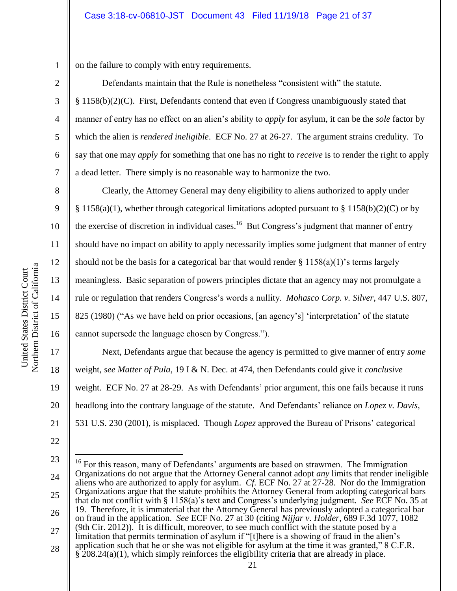on the failure to comply with entry requirements.

Defendants maintain that the Rule is nonetheless "consistent with" the statute. § 1158(b)(2)(C). First, Defendants contend that even if Congress unambiguously stated that manner of entry has no effect on an alien's ability to *apply* for asylum, it can be the *sole* factor by which the alien is *rendered ineligible*. ECF No. 27 at 26-27. The argument strains credulity. To say that one may *apply* for something that one has no right to *receive* is to render the right to apply a dead letter. There simply is no reasonable way to harmonize the two.

Clearly, the Attorney General may deny eligibility to aliens authorized to apply under § 1158(a)(1), whether through categorical limitations adopted pursuant to § 1158(b)(2)(C) or by the exercise of discretion in individual cases.<sup>16</sup> But Congress's judgment that manner of entry should have no impact on ability to apply necessarily implies some judgment that manner of entry should not be the basis for a categorical bar that would render  $\S 1158(a)(1)$ 's terms largely meaningless. Basic separation of powers principles dictate that an agency may not promulgate a rule or regulation that renders Congress's words a nullity. *Mohasco Corp. v. Silver*, 447 U.S. 807, 825 (1980) ("As we have held on prior occasions, [an agency's] 'interpretation' of the statute cannot supersede the language chosen by Congress.").

Next, Defendants argue that because the agency is permitted to give manner of entry *some* weight, *see Matter of Pula*, 19 I & N. Dec. at 474, then Defendants could give it *conclusive* weight. ECF No. 27 at 28-29. As with Defendants' prior argument, this one fails because it runs headlong into the contrary language of the statute. And Defendants' reliance on *Lopez v. Davis*, 531 U.S. 230 (2001), is misplaced. Though *Lopez* approved the Bureau of Prisons' categorical

1

2

3

4

5

6

7

8

9

10

11

12

13

14

15

16

17

18

19

20

21

<sup>23</sup> 24 25 26 27 28  $\overline{a}$ <sup>16</sup> For this reason, many of Defendants' arguments are based on strawmen. The Immigration Organizations do not argue that the Attorney General cannot adopt *any* limits that render ineligible aliens who are authorized to apply for asylum. *Cf.* ECF No. 27 at 27-28. Nor do the Immigration Organizations argue that the statute prohibits the Attorney General from adopting categorical bars that do not conflict with § 1158(a)'s text and Congress's underlying judgment. *See* ECF No. 35 at 19. Therefore, it is immaterial that the Attorney General has previously adopted a categorical bar on fraud in the application. *See* ECF No. 27 at 30 (citing *Nijjar v. Holder*, 689 F.3d 1077, 1082 (9th Cir. 2012)). It is difficult, moreover, to see much conflict with the statute posed by a limitation that permits termination of asylum if "[t]here is a showing of fraud in the alien's application such that he or she was not eligible for asylum at the time it was granted," 8 C.F.R.  $\frac{1}{208.24(a)(1)}$ , which simply reinforces the eligibility criteria that are already in place.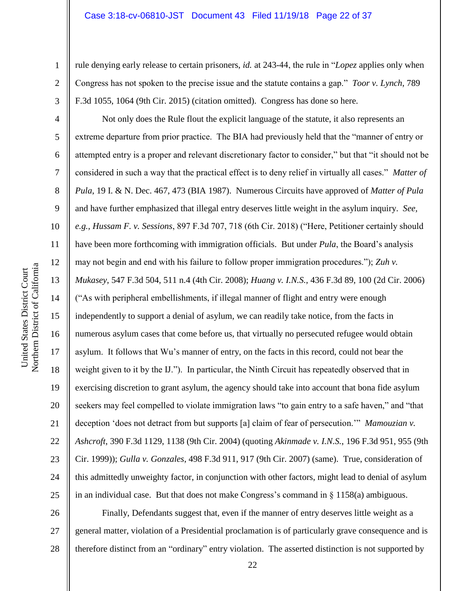rule denying early release to certain prisoners, *id.* at 243-44, the rule in "*Lopez* applies only when Congress has not spoken to the precise issue and the statute contains a gap." *Toor v. Lynch*, 789 F.3d 1055, 1064 (9th Cir. 2015) (citation omitted). Congress has done so here.

Not only does the Rule flout the explicit language of the statute, it also represents an extreme departure from prior practice. The BIA had previously held that the "manner of entry or attempted entry is a proper and relevant discretionary factor to consider," but that "it should not be considered in such a way that the practical effect is to deny relief in virtually all cases." *Matter of Pula*, 19 I. & N. Dec. 467, 473 (BIA 1987). Numerous Circuits have approved of *Matter of Pula* and have further emphasized that illegal entry deserves little weight in the asylum inquiry. *See, e.g.*, *Hussam F. v. Sessions*, 897 F.3d 707, 718 (6th Cir. 2018) ("Here, Petitioner certainly should have been more forthcoming with immigration officials. But under *Pula*, the Board's analysis may not begin and end with his failure to follow proper immigration procedures."); *Zuh v. Mukasey*, 547 F.3d 504, 511 n.4 (4th Cir. 2008); *Huang v. I.N.S.*, 436 F.3d 89, 100 (2d Cir. 2006) ("As with peripheral embellishments, if illegal manner of flight and entry were enough independently to support a denial of asylum, we can readily take notice, from the facts in numerous asylum cases that come before us, that virtually no persecuted refugee would obtain asylum. It follows that Wu's manner of entry, on the facts in this record, could not bear the weight given to it by the IJ."). In particular, the Ninth Circuit has repeatedly observed that in exercising discretion to grant asylum, the agency should take into account that bona fide asylum seekers may feel compelled to violate immigration laws "to gain entry to a safe haven," and "that deception 'does not detract from but supports [a] claim of fear of persecution.'" *Mamouzian v. Ashcroft*, 390 F.3d 1129, 1138 (9th Cir. 2004) (quoting *Akinmade v. I.N.S.*, 196 F.3d 951, 955 (9th Cir. 1999)); *Gulla v. Gonzales*, 498 F.3d 911, 917 (9th Cir. 2007) (same). True, consideration of this admittedly unweighty factor, in conjunction with other factors, might lead to denial of asylum in an individual case. But that does not make Congress's command in  $\S$  1158(a) ambiguous.

1

2

3

4

5

6

7

8

9

10

11

12

13

14

15

23 24

25

22

26 27 28 Finally, Defendants suggest that, even if the manner of entry deserves little weight as a general matter, violation of a Presidential proclamation is of particularly grave consequence and is therefore distinct from an "ordinary" entry violation.The asserted distinction is not supported by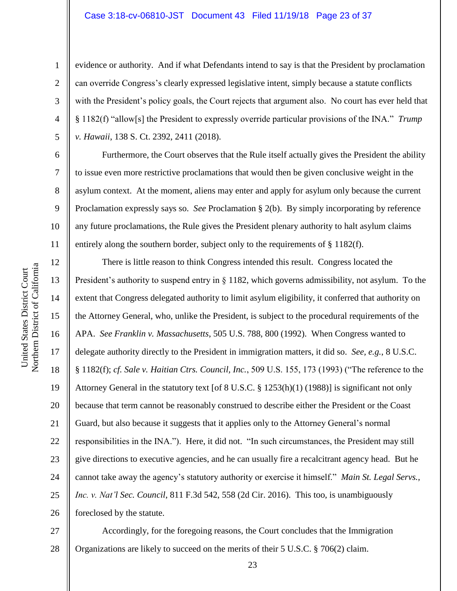#### Case 3:18-cv-06810-JST Document 43 Filed 11/19/18 Page 23 of 37

evidence or authority. And if what Defendants intend to say is that the President by proclamation can override Congress's clearly expressed legislative intent, simply because a statute conflicts with the President's policy goals, the Court rejects that argument also. No court has ever held that § 1182(f) "allow[s] the President to expressly override particular provisions of the INA." *Trump v. Hawaii*, 138 S. Ct. 2392, 2411 (2018).

Furthermore, the Court observes that the Rule itself actually gives the President the ability to issue even more restrictive proclamations that would then be given conclusive weight in the asylum context. At the moment, aliens may enter and apply for asylum only because the current Proclamation expressly says so. *See* Proclamation § 2(b). By simply incorporating by reference any future proclamations, the Rule gives the President plenary authority to halt asylum claims entirely along the southern border, subject only to the requirements of § 1182(f).

16 20 22 24 26 There is little reason to think Congress intended this result. Congress located the President's authority to suspend entry in § 1182, which governs admissibility, not asylum. To the extent that Congress delegated authority to limit asylum eligibility, it conferred that authority on the Attorney General, who, unlike the President, is subject to the procedural requirements of the APA. *See Franklin v. Massachusetts*, 505 U.S. 788, 800 (1992). When Congress wanted to delegate authority directly to the President in immigration matters, it did so. *See, e.g.*, 8 U.S.C. § 1182(f); *cf. Sale v. Haitian Ctrs. Council, Inc.*, 509 U.S. 155, 173 (1993) ("The reference to the Attorney General in the statutory text [of 8 U.S.C. § 1253(h)(1) (1988)] is significant not only because that term cannot be reasonably construed to describe either the President or the Coast Guard, but also because it suggests that it applies only to the Attorney General's normal responsibilities in the INA."). Here, it did not. "In such circumstances, the President may still give directions to executive agencies, and he can usually fire a recalcitrant agency head. But he cannot take away the agency's statutory authority or exercise it himself." *Main St. Legal Servs., Inc. v. Nat'l Sec. Council*, 811 F.3d 542, 558 (2d Cir. 2016). This too, is unambiguously foreclosed by the statute.

27 28 Accordingly, for the foregoing reasons, the Court concludes that the Immigration Organizations are likely to succeed on the merits of their 5 U.S.C. § 706(2) claim.

1

2

3

4

5

6

7

8

9

10

11

12

13

14

15

17

18

19

21

23

25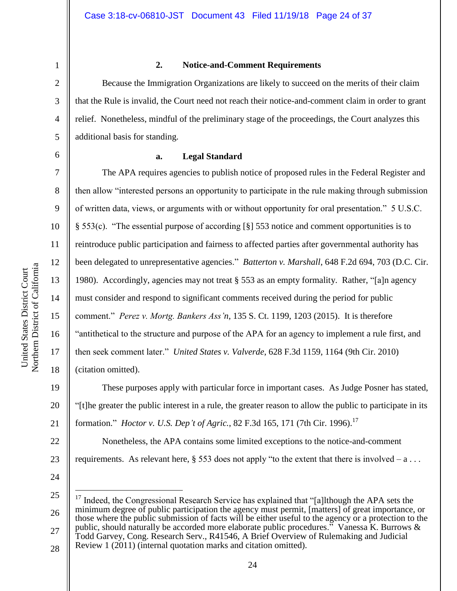2 3 4

1

## **2. Notice-and-Comment Requirements**

Because the Immigration Organizations are likely to succeed on the merits of their claim that the Rule is invalid, the Court need not reach their notice-and-comment claim in order to grant relief. Nonetheless, mindful of the preliminary stage of the proceedings, the Court analyzes this additional basis for standing.

7

8

9

10

11

12

13

14

15

16

17

18

5

## **a. Legal Standard**

The APA requires agencies to publish notice of proposed rules in the Federal Register and then allow "interested persons an opportunity to participate in the rule making through submission of written data, views, or arguments with or without opportunity for oral presentation." 5 U.S.C. § 553(c). "The essential purpose of according [§] 553 notice and comment opportunities is to reintroduce public participation and fairness to affected parties after governmental authority has been delegated to unrepresentative agencies." *Batterton v. Marshall*, 648 F.2d 694, 703 (D.C. Cir. 1980). Accordingly, agencies may not treat  $\S$  553 as an empty formality. Rather, "[a]n agency must consider and respond to significant comments received during the period for public comment." *Perez v. Mortg. Bankers Ass'n*, 135 S. Ct. 1199, 1203 (2015). It is therefore "antithetical to the structure and purpose of the APA for an agency to implement a rule first, and then seek comment later." *United States v. Valverde*, 628 F.3d 1159, 1164 (9th Cir. 2010) (citation omitted).

19 20 21 These purposes apply with particular force in important cases. As Judge Posner has stated, "[t]he greater the public interest in a rule, the greater reason to allow the public to participate in its formation." *Hoctor v. U.S. Dep't of Agric.*, 82 F.3d 165, 171 (7th Cir. 1996). 17

Nonetheless, the APA contains some limited exceptions to the notice-and-comment requirements. As relevant here,  $\S$  553 does not apply "to the extent that there is involved – a ...

24

 $\overline{a}$ 

22

23

25 26 27 <sup>17</sup> Indeed, the Congressional Research Service has explained that "[a]lthough the APA sets the minimum degree of public participation the agency must permit, [matters] of great importance, or those where the public submission of facts will be either useful to the agency or a protection to the public, should naturally be accorded more elaborate public procedures." Vanessa K. Burrows &

28 Todd Garvey, Cong. Research Serv., R41546, A Brief Overview of Rulemaking and Judicial Review 1 (2011) (internal quotation marks and citation omitted).

<sup>6</sup>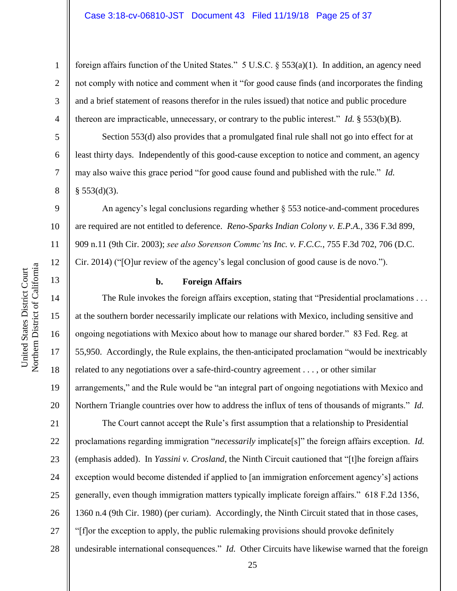# Case 3:18-cv-06810-JST Document 43 Filed 11/19/18 Page 25 of 37

foreign affairs function of the United States." 5 U.S.C. § 553(a)(1). In addition, an agency need not comply with notice and comment when it "for good cause finds (and incorporates the finding and a brief statement of reasons therefor in the rules issued) that notice and public procedure thereon are impracticable, unnecessary, or contrary to the public interest." *Id.* § 553(b)(B).

Section 553(d) also provides that a promulgated final rule shall not go into effect for at least thirty days. Independently of this good-cause exception to notice and comment, an agency may also waive this grace period "for good cause found and published with the rule." *Id.*  $§$  553(d)(3).

An agency's legal conclusions regarding whether § 553 notice-and-comment procedures are required are not entitled to deference. *Reno-Sparks Indian Colony v. E.P.A.*, 336 F.3d 899, 909 n.11 (9th Cir. 2003); *see also Sorenson Commc'ns Inc. v. F.C.C.*, 755 F.3d 702, 706 (D.C. Cir. 2014) ("[O]ur review of the agency's legal conclusion of good cause is de novo.").

## **b. Foreign Affairs**

The Rule invokes the foreign affairs exception, stating that "Presidential proclamations . . . at the southern border necessarily implicate our relations with Mexico, including sensitive and ongoing negotiations with Mexico about how to manage our shared border." 83 Fed. Reg. at 55,950. Accordingly, the Rule explains, the then-anticipated proclamation "would be inextricably related to any negotiations over a safe-third-country agreement . . . , or other similar arrangements," and the Rule would be "an integral part of ongoing negotiations with Mexico and Northern Triangle countries over how to address the influx of tens of thousands of migrants." *Id.*

21 22 23 24 25 26 27 28 The Court cannot accept the Rule's first assumption that a relationship to Presidential proclamations regarding immigration "*necessarily* implicate[s]" the foreign affairs exception. *Id.* (emphasis added). In *Yassini v. Crosland*, the Ninth Circuit cautioned that "[t]he foreign affairs exception would become distended if applied to [an immigration enforcement agency's] actions generally, even though immigration matters typically implicate foreign affairs." 618 F.2d 1356, 1360 n.4 (9th Cir. 1980) (per curiam). Accordingly, the Ninth Circuit stated that in those cases, "[f]or the exception to apply, the public rulemaking provisions should provoke definitely undesirable international consequences." *Id.* Other Circuits have likewise warned that the foreign

1

2

3

4

5

6

7

8

9

10

11

12

13

14

15

16

17

18

19

20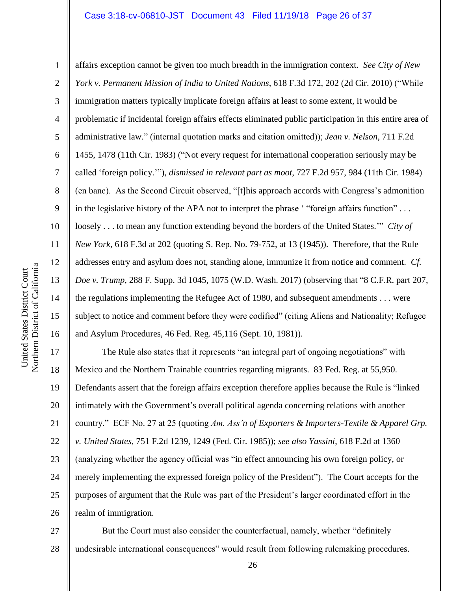#### Case 3:18-cv-06810-JST Document 43 Filed 11/19/18 Page 26 of 37

Northern District of California Northern District of California United States District Court United States District Court

1

2

3

4

5

6

7

8

9

10

11

12

13

14

15

16

affairs exception cannot be given too much breadth in the immigration context. *See City of New York v. Permanent Mission of India to United Nations*, 618 F.3d 172, 202 (2d Cir. 2010) ("While immigration matters typically implicate foreign affairs at least to some extent, it would be problematic if incidental foreign affairs effects eliminated public participation in this entire area of administrative law." (internal quotation marks and citation omitted)); *Jean v. Nelson*, 711 F.2d 1455, 1478 (11th Cir. 1983) ("Not every request for international cooperation seriously may be called 'foreign policy.'"), *dismissed in relevant part as moot*, 727 F.2d 957, 984 (11th Cir. 1984) (en banc). As the Second Circuit observed, "[t]his approach accords with Congress's admonition in the legislative history of the APA not to interpret the phrase ' "foreign affairs function" . . . loosely . . . to mean any function extending beyond the borders of the United States.'" *City of New York*, 618 F.3d at 202 (quoting S. Rep. No. 79-752, at 13 (1945)). Therefore, that the Rule addresses entry and asylum does not, standing alone, immunize it from notice and comment. *Cf. Doe v. Trump*, 288 F. Supp. 3d 1045, 1075 (W.D. Wash. 2017) (observing that "8 C.F.R. part 207, the regulations implementing the Refugee Act of 1980, and subsequent amendments . . . were subject to notice and comment before they were codified" (citing Aliens and Nationality; Refugee and Asylum Procedures, 46 Fed. Reg. 45,116 (Sept. 10, 1981)).

17 18 19 20 21 22 23 24 25 26 The Rule also states that it represents "an integral part of ongoing negotiations" with Mexico and the Northern Trainable countries regarding migrants. 83 Fed. Reg. at 55,950. Defendants assert that the foreign affairs exception therefore applies because the Rule is "linked intimately with the Government's overall political agenda concerning relations with another country." ECF No. 27 at 25 (quoting *Am. Ass'n of Exporters & Importers-Textile & Apparel Grp. v. United States*, 751 F.2d 1239, 1249 (Fed. Cir. 1985)); *see also Yassini*, 618 F.2d at 1360 (analyzing whether the agency official was "in effect announcing his own foreign policy, or merely implementing the expressed foreign policy of the President"). The Court accepts for the purposes of argument that the Rule was part of the President's larger coordinated effort in the realm of immigration.

27 28 But the Court must also consider the counterfactual, namely, whether "definitely undesirable international consequences" would result from following rulemaking procedures.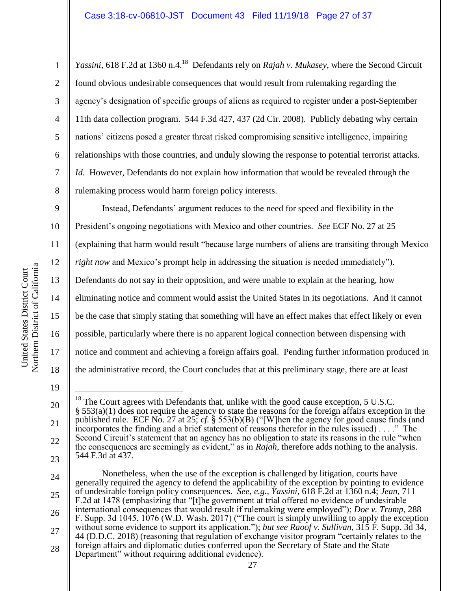Yassini, 618 F.2d at 1360 n.4.<sup>18</sup> Defendants rely on *Rajah v. Mukasey*, where the Second Circuit found obvious undesirable consequences that would result from rulemaking regarding the agency's designation of specific groups of aliens as required to register under a post-September 11th data collection program. 544 F.3d 427, 437 (2d Cir. 2008). Publicly debating why certain nations' citizens posed a greater threat risked compromising sensitive intelligence, impairing relationships with those countries, and unduly slowing the response to potential terrorist attacks. *Id.* However, Defendants do not explain how information that would be revealed through the rulemaking process would harm foreign policy interests.

9 10 11 12 13 14 15 16 17 18 Instead, Defendants' argument reduces to the need for speed and flexibility in the President's ongoing negotiations with Mexico and other countries. *See* ECF No. 27 at 25 (explaining that harm would result "because large numbers of aliens are transiting through Mexico *right now* and Mexico's prompt help in addressing the situation is needed immediately"). Defendants do not say in their opposition, and were unable to explain at the hearing, how eliminating notice and comment would assist the United States in its negotiations. And it cannot be the case that simply stating that something will have an effect makes that effect likely or even possible, particularly where there is no apparent logical connection between dispensing with notice and comment and achieving a foreign affairs goal. Pending further information produced in the administrative record, the Court concludes that at this preliminary stage, there are at least

1

2

3

4

5

6

7

8

20

21

 $\overline{a}$  $18$  The Court agrees with Defendants that, unlike with the good cause exception, 5 U.S.C.  $\S$  553(a)(1) does not require the agency to state the reasons for the foreign affairs exception in the published rule. ECF No. 27 at 25; *cf.* § 553(b)(B) ("[W]hen the agency for good cause finds (and incorporates the finding and a brief statement of reasons therefor in the rules issued) . . . ." The Second Circuit's statement that an agency has no obligation to state its reasons in the rule "when the consequences are seemingly as evident," as in *Rajah*, therefore adds nothing to the analysis. 544 F.3d at 437.

<sup>25</sup> 26 27 28 Nonetheless, when the use of the exception is challenged by litigation, courts have generally required the agency to defend the applicability of the exception by pointing to evidence of undesirable foreign policy consequences. *See, e.g.*, *Yassini*, 618 F.2d at 1360 n.4; *Jean*, 711 F.2d at 1478 (emphasizing that "[t]he government at trial offered no evidence of undesirable international consequences that would result if rulemaking were employed"); *Doe v. Trump*, 288 F. Supp. 3d 1045, 1076 (W.D. Wash. 2017) ("The court is simply unwilling to apply the exception without some evidence to support its application."); *but see Raoof v. Sullivan*, 315 F. Supp. 3d 34, 44 (D.D.C. 2018) (reasoning that regulation of exchange visitor program "certainly relates to the foreign affairs and diplomatic duties conferred upon the Secretary of State and the State Department" without requiring additional evidence).

<sup>19</sup>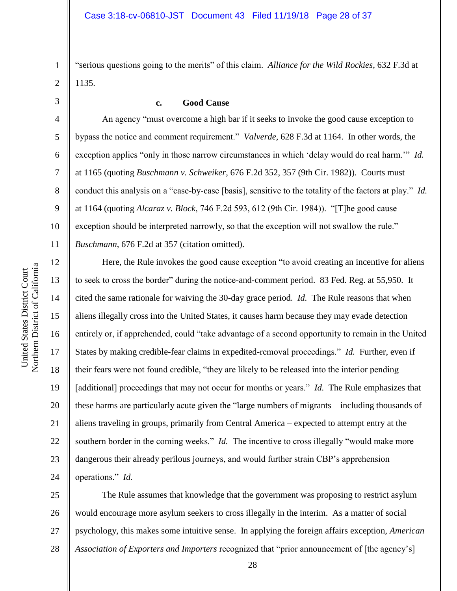"serious questions going to the merits" of this claim. *Alliance for the Wild Rockies*, 632 F.3d at 1135.

3

4

5

6

7

8

9

10

11

12

13

14

15

16

17

18

19

20

21

22

23

24

1

2

# **c. Good Cause**

An agency "must overcome a high bar if it seeks to invoke the good cause exception to bypass the notice and comment requirement." *Valverde*, 628 F.3d at 1164. In other words, the exception applies "only in those narrow circumstances in which 'delay would do real harm.'" *Id.*  at 1165 (quoting *Buschmann v. Schweiker*, 676 F.2d 352, 357 (9th Cir. 1982)). Courts must conduct this analysis on a "case-by-case [basis], sensitive to the totality of the factors at play." *Id.* at 1164 (quoting *Alcaraz v. Block*, 746 F.2d 593, 612 (9th Cir. 1984)). "[T]he good cause exception should be interpreted narrowly, so that the exception will not swallow the rule." *Buschmann*, 676 F.2d at 357 (citation omitted).

Here, the Rule invokes the good cause exception "to avoid creating an incentive for aliens to seek to cross the border" during the notice-and-comment period. 83 Fed. Reg. at 55,950. It cited the same rationale for waiving the 30-day grace period. *Id.* The Rule reasons that when aliens illegally cross into the United States, it causes harm because they may evade detection entirely or, if apprehended, could "take advantage of a second opportunity to remain in the United States by making credible-fear claims in expedited-removal proceedings." *Id.* Further, even if their fears were not found credible, "they are likely to be released into the interior pending [additional] proceedings that may not occur for months or years." *Id.* The Rule emphasizes that these harms are particularly acute given the "large numbers of migrants – including thousands of aliens traveling in groups, primarily from Central America – expected to attempt entry at the southern border in the coming weeks." *Id.* The incentive to cross illegally "would make more dangerous their already perilous journeys, and would further strain CBP's apprehension operations." *Id.*

25 26 27 28 The Rule assumes that knowledge that the government was proposing to restrict asylum would encourage more asylum seekers to cross illegally in the interim. As a matter of social psychology, this makes some intuitive sense. In applying the foreign affairs exception, *American Association of Exporters and Importers* recognized that "prior announcement of [the agency's]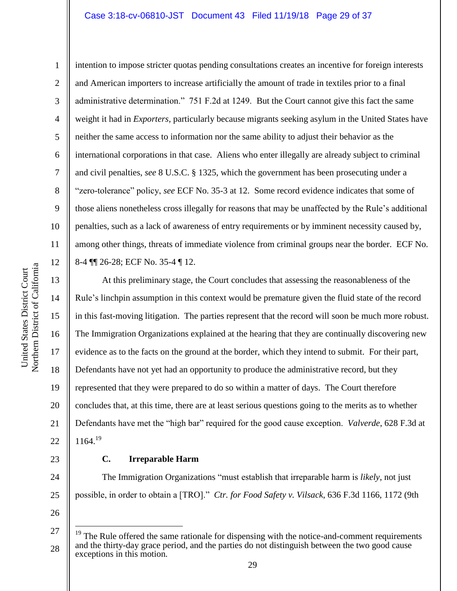#### Case 3:18-cv-06810-JST Document 43 Filed 11/19/18 Page 29 of 37

10 11

1 2 3 4 5 6 7 8 9 intention to impose stricter quotas pending consultations creates an incentive for foreign interests and American importers to increase artificially the amount of trade in textiles prior to a final administrative determination." 751 F.2d at 1249. But the Court cannot give this fact the same weight it had in *Exporters*, particularly because migrants seeking asylum in the United States have neither the same access to information nor the same ability to adjust their behavior as the international corporations in that case. Aliens who enter illegally are already subject to criminal and civil penalties, *see* 8 U.S.C. § 1325, which the government has been prosecuting under a "zero-tolerance" policy, *see* ECF No. 35-3 at 12. Some record evidence indicates that some of those aliens nonetheless cross illegally for reasons that may be unaffected by the Rule's additional penalties, such as a lack of awareness of entry requirements or by imminent necessity caused by, among other things, threats of immediate violence from criminal groups near the border. ECF No. 8-4 ¶¶ 26-28; ECF No. 35-4 ¶ 12.

20 At this preliminary stage, the Court concludes that assessing the reasonableness of the Rule's linchpin assumption in this context would be premature given the fluid state of the record in this fast-moving litigation. The parties represent that the record will soon be much more robust. The Immigration Organizations explained at the hearing that they are continually discovering new evidence as to the facts on the ground at the border, which they intend to submit. For their part, Defendants have not yet had an opportunity to produce the administrative record, but they represented that they were prepared to do so within a matter of days. The Court therefore concludes that, at this time, there are at least serious questions going to the merits as to whether Defendants have met the "high bar" required for the good cause exception. *Valverde*, 628 F.3d at  $1164.<sup>19</sup>$ 

#### **C. Irreparable Harm**

The Immigration Organizations "must establish that irreparable harm is *likely*, not just possible, in order to obtain a [TRO]." *Ctr. for Food Safety v. Vilsack*, 636 F.3d 1166, 1172 (9th

26

27

 $\overline{a}$ 

28

19

21

22

23

24

The Rule offered the same rationale for dispensing with the notice-and-comment requirements and the thirty-day grace period, and the parties do not distinguish between the two good cause exceptions in this motion.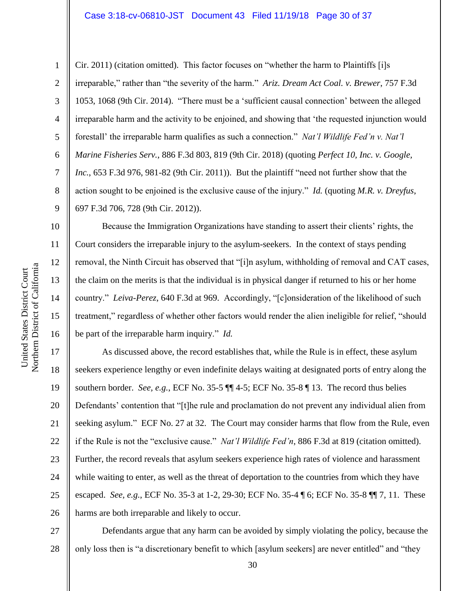#### Case 3:18-cv-06810-JST Document 43 Filed 11/19/18 Page 30 of 37

1

2

3

4

5

6

7

8

9

10

11

12

13

14

15

16

Cir. 2011) (citation omitted). This factor focuses on "whether the harm to Plaintiffs [i]s irreparable," rather than "the severity of the harm." *Ariz. Dream Act Coal. v. Brewer*, 757 F.3d 1053, 1068 (9th Cir. 2014). "There must be a 'sufficient causal connection' between the alleged irreparable harm and the activity to be enjoined, and showing that 'the requested injunction would forestall' the irreparable harm qualifies as such a connection." *Nat'l Wildlife Fed'n v. Nat'l Marine Fisheries Serv.*, 886 F.3d 803, 819 (9th Cir. 2018) (quoting *Perfect 10, Inc. v. Google, Inc.*, 653 F.3d 976, 981-82 (9th Cir. 2011)). But the plaintiff "need not further show that the action sought to be enjoined is the exclusive cause of the injury." *Id.* (quoting *M.R. v. Dreyfus*, 697 F.3d 706, 728 (9th Cir. 2012)).

Because the Immigration Organizations have standing to assert their clients' rights, the Court considers the irreparable injury to the asylum-seekers. In the context of stays pending removal, the Ninth Circuit has observed that "[i]n asylum, withholding of removal and CAT cases, the claim on the merits is that the individual is in physical danger if returned to his or her home country." *Leiva-Perez*, 640 F.3d at 969. Accordingly, "[c]onsideration of the likelihood of such treatment," regardless of whether other factors would render the alien ineligible for relief, "should be part of the irreparable harm inquiry." *Id.*

17 18 19 20 21 22 23 24 25 26 As discussed above, the record establishes that, while the Rule is in effect, these asylum seekers experience lengthy or even indefinite delays waiting at designated ports of entry along the southern border. *See, e.g.*, ECF No. 35-5 ¶¶ 4-5; ECF No. 35-8 ¶ 13. The record thus belies Defendants' contention that "[t]he rule and proclamation do not prevent any individual alien from seeking asylum." ECF No. 27 at 32. The Court may consider harms that flow from the Rule, even if the Rule is not the "exclusive cause." *Nat'l Wildlife Fed'n*, 886 F.3d at 819 (citation omitted). Further, the record reveals that asylum seekers experience high rates of violence and harassment while waiting to enter, as well as the threat of deportation to the countries from which they have escaped. *See, e.g.*, ECF No. 35-3 at 1-2, 29-30; ECF No. 35-4 ¶ 6; ECF No. 35-8 ¶¶ 7, 11. These harms are both irreparable and likely to occur.

27 28 Defendants argue that any harm can be avoided by simply violating the policy, because the only loss then is "a discretionary benefit to which [asylum seekers] are never entitled" and "they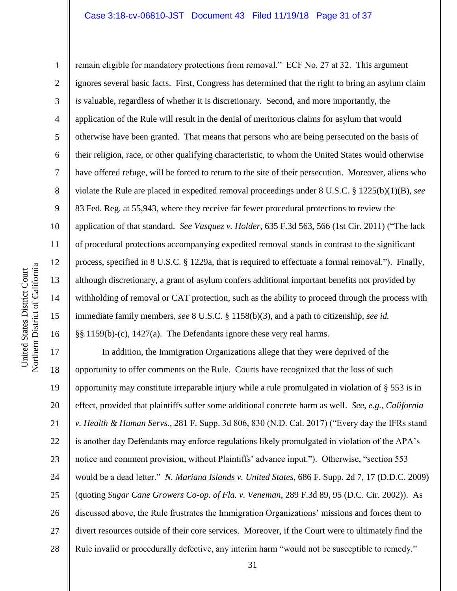#### Case 3:18-cv-06810-JST Document 43 Filed 11/19/18 Page 31 of 37

Northern District of California Northern District of California United States District Court United States District Court

1 2 3 4 5 6 7 8 9 10 11 12 13 14 15 16 remain eligible for mandatory protections from removal." ECF No. 27 at 32. This argument ignores several basic facts. First, Congress has determined that the right to bring an asylum claim *is* valuable, regardless of whether it is discretionary. Second, and more importantly, the application of the Rule will result in the denial of meritorious claims for asylum that would otherwise have been granted. That means that persons who are being persecuted on the basis of their religion, race, or other qualifying characteristic, to whom the United States would otherwise have offered refuge, will be forced to return to the site of their persecution. Moreover, aliens who violate the Rule are placed in expedited removal proceedings under 8 U.S.C. § 1225(b)(1)(B), *see*  83 Fed. Reg. at 55,943, where they receive far fewer procedural protections to review the application of that standard. *See Vasquez v. Holder*, 635 F.3d 563, 566 (1st Cir. 2011) ("The lack of procedural protections accompanying expedited removal stands in contrast to the significant process, specified in 8 U.S.C. § 1229a, that is required to effectuate a formal removal."). Finally, although discretionary, a grant of asylum confers additional important benefits not provided by withholding of removal or CAT protection, such as the ability to proceed through the process with immediate family members, *see* 8 U.S.C. § 1158(b)(3), and a path to citizenship, *see id.* §§ 1159(b)-(c), 1427(a). The Defendants ignore these very real harms.

17 18 19 20 21 22 23 24 25 26 27 28 In addition, the Immigration Organizations allege that they were deprived of the opportunity to offer comments on the Rule. Courts have recognized that the loss of such opportunity may constitute irreparable injury while a rule promulgated in violation of § 553 is in effect, provided that plaintiffs suffer some additional concrete harm as well. *See, e.g.*, *California v. Health & Human Servs.*, 281 F. Supp. 3d 806, 830 (N.D. Cal. 2017) ("Every day the IFRs stand is another day Defendants may enforce regulations likely promulgated in violation of the APA's notice and comment provision, without Plaintiffs' advance input."). Otherwise, "section 553 would be a dead letter." *N. Mariana Islands v. United States*, 686 F. Supp. 2d 7, 17 (D.D.C. 2009) (quoting *Sugar Cane Growers Co-op. of Fla. v. Veneman*, 289 F.3d 89, 95 (D.C. Cir. 2002)). As discussed above, the Rule frustrates the Immigration Organizations' missions and forces them to divert resources outside of their core services. Moreover, if the Court were to ultimately find the Rule invalid or procedurally defective, any interim harm "would not be susceptible to remedy."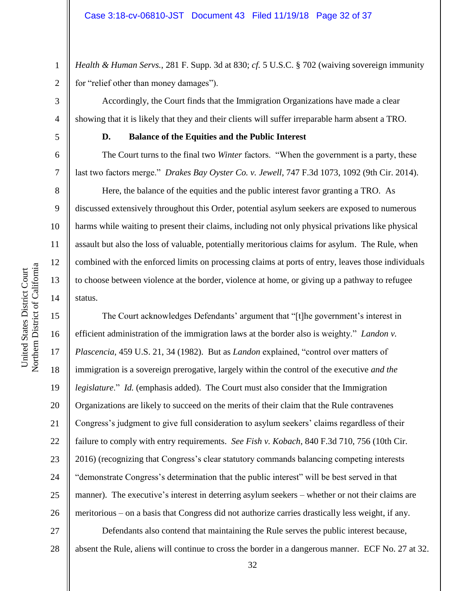*Health & Human Servs.*, 281 F. Supp. 3d at 830; *cf.* 5 U.S.C. § 702 (waiving sovereign immunity for "relief other than money damages").

Accordingly, the Court finds that the Immigration Organizations have made a clear showing that it is likely that they and their clients will suffer irreparable harm absent a TRO.

# **D. Balance of the Equities and the Public Interest**

The Court turns to the final two *Winter* factors. "When the government is a party, these last two factors merge." *Drakes Bay Oyster Co. v. Jewell*, 747 F.3d 1073, 1092 (9th Cir. 2014).

Here, the balance of the equities and the public interest favor granting a TRO. As discussed extensively throughout this Order, potential asylum seekers are exposed to numerous harms while waiting to present their claims, including not only physical privations like physical assault but also the loss of valuable, potentially meritorious claims for asylum. The Rule, when combined with the enforced limits on processing claims at ports of entry, leaves those individuals to choose between violence at the border, violence at home, or giving up a pathway to refugee status.

The Court acknowledges Defendants' argument that "[t]he government's interest in efficient administration of the immigration laws at the border also is weighty." *Landon v. Plascencia*, 459 U.S. 21, 34 (1982). But as *Landon* explained, "control over matters of immigration is a sovereign prerogative, largely within the control of the executive *and the legislature*." *Id.* (emphasis added). The Court must also consider that the Immigration Organizations are likely to succeed on the merits of their claim that the Rule contravenes Congress's judgment to give full consideration to asylum seekers' claims regardless of their failure to comply with entry requirements. *See Fish v. Kobach*, 840 F.3d 710, 756 (10th Cir. 2016) (recognizing that Congress's clear statutory commands balancing competing interests "demonstrate Congress's determination that the public interest" will be best served in that manner). The executive's interest in deterring asylum seekers – whether or not their claims are meritorious – on a basis that Congress did not authorize carries drastically less weight, if any.

27 28 Defendants also contend that maintaining the Rule serves the public interest because, absent the Rule, aliens will continue to cross the border in a dangerous manner. ECF No. 27 at 32.

1

2

3

4

5

6

7

8

9

10

11

12

13

14

15

16

17

18

19

20

21

22

23

24

25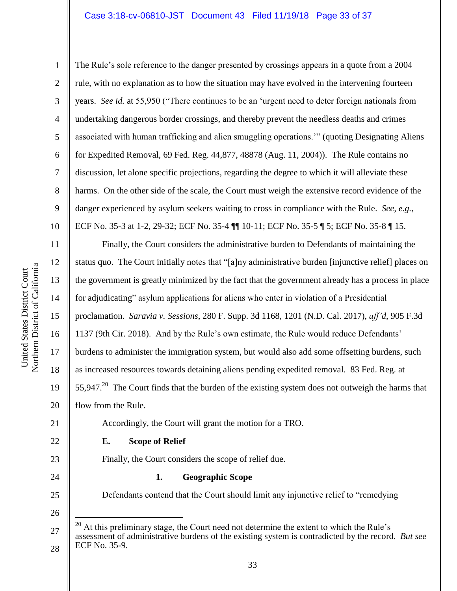### Case 3:18-cv-06810-JST Document 43 Filed 11/19/18 Page 33 of 37

Northern District of California Northern District of California United States District Court United States District Court

1 2 3 4 5 6 7 8 9 10 11 12 13 14 15 16 17 18 19 20 21 22 23 24 25 26 27 The Rule's sole reference to the danger presented by crossings appears in a quote from a 2004 rule, with no explanation as to how the situation may have evolved in the intervening fourteen years. *See id.* at 55,950 ("There continues to be an 'urgent need to deter foreign nationals from undertaking dangerous border crossings, and thereby prevent the needless deaths and crimes associated with human trafficking and alien smuggling operations.'" (quoting Designating Aliens for Expedited Removal, 69 Fed. Reg. 44,877, 48878 (Aug. 11, 2004)). The Rule contains no discussion, let alone specific projections, regarding the degree to which it will alleviate these harms. On the other side of the scale, the Court must weigh the extensive record evidence of the danger experienced by asylum seekers waiting to cross in compliance with the Rule. *See, e.g.*, ECF No. 35-3 at 1-2, 29-32; ECF No. 35-4 ¶¶ 10-11; ECF No. 35-5 ¶ 5; ECF No. 35-8 ¶ 15. Finally, the Court considers the administrative burden to Defendants of maintaining the status quo. The Court initially notes that "[a]ny administrative burden [injunctive relief] places on the government is greatly minimized by the fact that the government already has a process in place for adjudicating" asylum applications for aliens who enter in violation of a Presidential proclamation. *Saravia v. Sessions*, 280 F. Supp. 3d 1168, 1201 (N.D. Cal. 2017), *aff'd*, 905 F.3d 1137 (9th Cir. 2018). And by the Rule's own estimate, the Rule would reduce Defendants' burdens to administer the immigration system, but would also add some offsetting burdens, such as increased resources towards detaining aliens pending expedited removal. 83 Fed. Reg. at 55,947. $^{20}$  The Court finds that the burden of the existing system does not outweigh the harms that flow from the Rule. Accordingly, the Court will grant the motion for a TRO. **E. Scope of Relief** Finally, the Court considers the scope of relief due. **1. Geographic Scope** Defendants contend that the Court should limit any injunctive relief to "remedying  $\overline{a}$  $20$  At this preliminary stage, the Court need not determine the extent to which the Rule's assessment of administrative burdens of the existing system is contradicted by the record. *But see* 

28

ECF No. 35-9.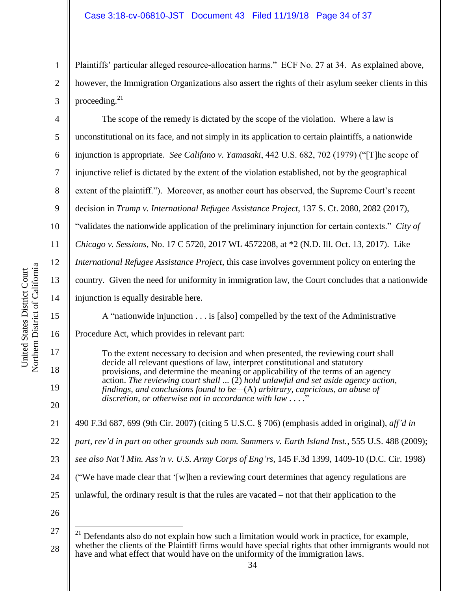Plaintiffs' particular alleged resource-allocation harms." ECF No. 27 at 34. As explained above, however, the Immigration Organizations also assert the rights of their asylum seeker clients in this proceeding. $21$ 

6 10 14 The scope of the remedy is dictated by the scope of the violation. Where a law is unconstitutional on its face, and not simply in its application to certain plaintiffs, a nationwide injunction is appropriate. *See Califano v. Yamasaki*, 442 U.S. 682, 702 (1979) ("[T]he scope of injunctive relief is dictated by the extent of the violation established, not by the geographical extent of the plaintiff."). Moreover, as another court has observed, the Supreme Court's recent decision in *Trump v. International Refugee Assistance Project*, 137 S. Ct. 2080, 2082 (2017), "validates the nationwide application of the preliminary injunction for certain contexts." *City of Chicago v. Sessions*, No. 17 C 5720, 2017 WL 4572208, at \*2 (N.D. Ill. Oct. 13, 2017). Like *International Refugee Assistance Project*, this case involves government policy on entering the country. Given the need for uniformity in immigration law, the Court concludes that a nationwide injunction is equally desirable here.

A "nationwide injunction . . . is [also] compelled by the text of the Administrative

Procedure Act, which provides in relevant part:

To the extent necessary to decision and when presented, the reviewing court shall decide all relevant questions of law, interpret constitutional and statutory provisions, and determine the meaning or applicability of the terms of an agency action. *The reviewing court shall* ... (2) *hold unlawful and set aside agency action, findings, and conclusions found to be—*(A) *arbitrary, capricious, an abuse of discretion, or otherwise not in accordance with law . . . .*"

21 490 F.3d 687, 699 (9th Cir. 2007) (citing 5 U.S.C. § 706) (emphasis added in original), *aff'd in* 

22 *part, rev'd in part on other grounds sub nom. Summers v. Earth Island Inst.*, 555 U.S. 488 (2009);

23 *see also Nat'l Min. Ass'n v. U.S. Army Corps of Eng'rs*, 145 F.3d 1399, 1409-10 (D.C. Cir. 1998)

24 ("We have made clear that '[w]hen a reviewing court determines that agency regulations are

25 unlawful, the ordinary result is that the rules are vacated – not that their application to the

26

 $\overline{a}$ 

1

2

3

4

5

7

8

9

11

12

13

15

16

17

18

19

<sup>27</sup> 28  $21$  Defendants also do not explain how such a limitation would work in practice, for example, whether the clients of the Plaintiff firms would have special rights that other immigrants would not have and what effect that would have on the uniformity of the immigration laws.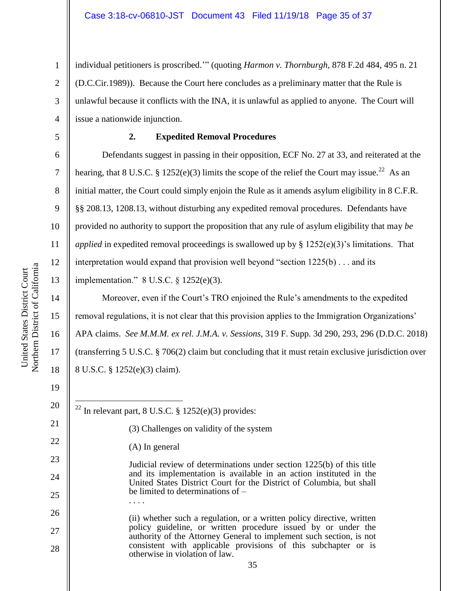individual petitioners is proscribed.'" (quoting *Harmon v. Thornburgh,* 878 F.2d 484, 495 n. 21 (D.C.Cir.1989)). Because the Court here concludes as a preliminary matter that the Rule is unlawful because it conflicts with the INA, it is unlawful as applied to anyone. The Court will issue a nationwide injunction.

1

2

3

4

5

6

7

8

9

10

11

12

13

14

15

16

17

18

# **2. Expedited Removal Procedures**

Defendants suggest in passing in their opposition, ECF No. 27 at 33, and reiterated at the hearing, that 8 U.S.C. § 1252(e)(3) limits the scope of the relief the Court may issue.<sup>22</sup> As an initial matter, the Court could simply enjoin the Rule as it amends asylum eligibility in 8 C.F.R. §§ 208.13, 1208.13, without disturbing any expedited removal procedures. Defendants have provided no authority to support the proposition that any rule of asylum eligibility that may *be applied* in expedited removal proceedings is swallowed up by  $\S$  1252(e)(3)'s limitations. That interpretation would expand that provision well beyond "section 1225(b) . . . and its implementation." 8 U.S.C. § 1252(e)(3).

Moreover, even if the Court's TRO enjoined the Rule's amendments to the expedited removal regulations, it is not clear that this provision applies to the Immigration Organizations' APA claims. *See M.M.M. ex rel. J.M.A. v. Sessions*, 319 F. Supp. 3d 290, 293, 296 (D.D.C. 2018) (transferring 5 U.S.C. § 706(2) claim but concluding that it must retain exclusive jurisdiction over 8 U.S.C. § 1252(e)(3) claim).

| 20 | <sup>22</sup> In relevant part, 8 U.S.C. § 1252(e)(3) provides:                                                                            |  |
|----|--------------------------------------------------------------------------------------------------------------------------------------------|--|
| 21 | (3) Challenges on validity of the system                                                                                                   |  |
| 22 | $(A)$ In general                                                                                                                           |  |
| 23 | Judicial review of determinations under section 1225(b) of this title                                                                      |  |
| 24 | and its implementation is available in an action instituted in the<br>United States District Court for the District of Columbia, but shall |  |
| 25 | be limited to determinations of $-$                                                                                                        |  |
| 26 | (ii) whether such a regulation, or a written policy directive, written                                                                     |  |
| 27 | policy guideline, or written procedure issued by or under the<br>authority of the Attorney General to implement such section, is not       |  |
| 28 | consistent with applicable provisions of this subchapter or is<br>otherwise in violation of law.                                           |  |
|    | 35                                                                                                                                         |  |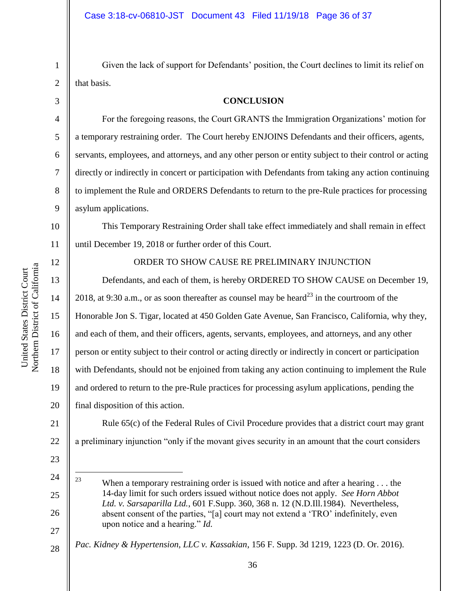Given the lack of support for Defendants' position, the Court declines to limit its relief on that basis.

**CONCLUSION**

6 7 8 9 For the foregoing reasons, the Court GRANTS the Immigration Organizations' motion for a temporary restraining order. The Court hereby ENJOINS Defendants and their officers, agents, servants, employees, and attorneys, and any other person or entity subject to their control or acting directly or indirectly in concert or participation with Defendants from taking any action continuing to implement the Rule and ORDERS Defendants to return to the pre-Rule practices for processing asylum applications.

10 11 This Temporary Restraining Order shall take effect immediately and shall remain in effect until December 19, 2018 or further order of this Court.

12 13

14

15

16

17

18

19

20

23

24

 $\overline{a}$ 

25

26

27

# ORDER TO SHOW CAUSE RE PRELIMINARY INJUNCTION

Defendants, and each of them, is hereby ORDERED TO SHOW CAUSE on December 19, 2018, at 9:30 a.m., or as soon thereafter as counsel may be heard<sup>23</sup> in the courtroom of the Honorable Jon S. Tigar, located at 450 Golden Gate Avenue, San Francisco, California, why they, and each of them, and their officers, agents, servants, employees, and attorneys, and any other person or entity subject to their control or acting directly or indirectly in concert or participation with Defendants, should not be enjoined from taking any action continuing to implement the Rule and ordered to return to the pre-Rule practices for processing asylum applications, pending the final disposition of this action.

21 22 Rule 65(c) of the Federal Rules of Civil Procedure provides that a district court may grant a preliminary injunction "only if the movant gives security in an amount that the court considers

28 *Pac. Kidney & Hypertension, LLC v. Kassakian*, 156 F. Supp. 3d 1219, 1223 (D. Or. 2016).

<sup>&</sup>lt;sup>23</sup> When a temporary restraining order is issued with notice and after a hearing . . . the 14-day limit for such orders issued without notice does not apply. *See Horn Abbot Ltd. v. Sarsaparilla Ltd.*, 601 F.Supp. 360, 368 n. 12 (N.D.Ill.1984). Nevertheless, absent consent of the parties, "[a] court may not extend a 'TRO' indefinitely, even upon notice and a hearing." *Id.*